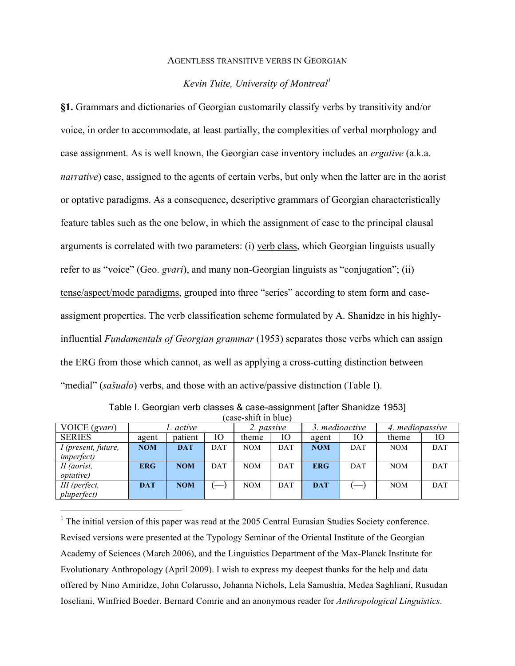#### AGENTLESS TRANSITIVE VERBS IN GEORGIAN

# *Kevin Tuite, University of Montreal1*

**§1.** Grammars and dictionaries of Georgian customarily classify verbs by transitivity and/or voice, in order to accommodate, at least partially, the complexities of verbal morphology and case assignment. As is well known, the Georgian case inventory includes an *ergative* (a.k.a. *narrative*) case, assigned to the agents of certain verbs, but only when the latter are in the aorist or optative paradigms. As a consequence, descriptive grammars of Georgian characteristically feature tables such as the one below, in which the assignment of case to the principal clausal arguments is correlated with two parameters: (i) verb class, which Georgian linguists usually refer to as "voice" (Geo. *gvari*), and many non-Georgian linguists as "conjugation"; (ii) tense/aspect/mode paradigms, grouped into three "series" according to stem form and caseassigment properties. The verb classification scheme formulated by A. Shanidze in his highlyinfluential *Fundamentals of Georgian grammar* (1953) separates those verbs which can assign the ERG from those which cannot, as well as applying a cross-cutting distinction between "medial" (*sašualo*) verbs, and those with an active/passive distinction (Table I).

| VOICE (gvari)       |            | . active   |            | 2. passive |     | 3. medioactive |                                 | 4. mediopassive |            |
|---------------------|------------|------------|------------|------------|-----|----------------|---------------------------------|-----------------|------------|
| <b>SERIES</b>       | agent      | patient    | Ю          | theme      | IО  | agent          | IО                              | theme           | Ю          |
| I (present, future, | <b>NOM</b> | <b>DAT</b> | <b>DAT</b> | <b>NOM</b> | DAT | <b>NOM</b>     | DAT                             | <b>NOM</b>      | <b>DAT</b> |
| <i>imperfect</i> )  |            |            |            |            |     |                |                                 |                 |            |
| II (aorist,         | <b>ERG</b> | <b>NOM</b> | <b>DAT</b> | <b>NOM</b> | DAT | <b>ERG</b>     | DAT                             | <b>NOM</b>      | DAT        |
| <i>optative</i> )   |            |            |            |            |     |                |                                 |                 |            |
| III (perfect,       | <b>DAT</b> | <b>NOM</b> |            | <b>NOM</b> | DAT | <b>DAT</b>     | $\hspace{0.1mm}-\hspace{0.1mm}$ | <b>NOM</b>      | DAT        |
| <i>pluperfect</i> ) |            |            |            |            |     |                |                                 |                 |            |

Table I. Georgian verb classes & case-assignment [after Shanidze 1953] (case-shift in blue)

 $<sup>1</sup>$  The initial version of this paper was read at the 2005 Central Eurasian Studies Society conference.</sup> Revised versions were presented at the Typology Seminar of the Oriental Institute of the Georgian Academy of Sciences (March 2006), and the Linguistics Department of the Max-Planck Institute for Evolutionary Anthropology (April 2009). I wish to express my deepest thanks for the help and data offered by Nino Amiridze, John Colarusso, Johanna Nichols, Lela Samushia, Medea Saghliani, Rusudan Ioseliani, Winfried Boeder, Bernard Comrie and an anonymous reader for *Anthropological Linguistics*.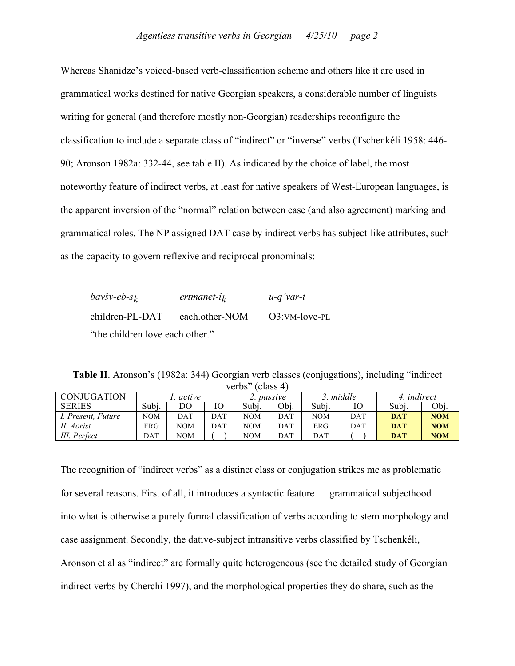Whereas Shanidze's voiced-based verb-classification scheme and others like it are used in grammatical works destined for native Georgian speakers, a considerable number of linguists writing for general (and therefore mostly non-Georgian) readerships reconfigure the classification to include a separate class of "indirect" or "inverse" verbs (Tschenkéli 1958: 446- 90; Aronson 1982a: 332-44, see table II). As indicated by the choice of label, the most noteworthy feature of indirect verbs, at least for native speakers of West-European languages, is the apparent inversion of the "normal" relation between case (and also agreement) marking and grammatical roles. The NP assigned DAT case by indirect verbs has subject-like attributes, such as the capacity to govern reflexive and reciprocal pronominals:

| <u>bavšv-eb-sk</u>              | $ertmanet-i_k$ | $u-q'var-t$   |  |  |  |  |
|---------------------------------|----------------|---------------|--|--|--|--|
| children-PL-DAT                 | each.other-NOM | O3:VM-love-PL |  |  |  |  |
| "the children love each other." |                |               |  |  |  |  |

**Table II**. Aronson's (1982a: 344) Georgian verb classes (conjugations), including "indirect verbs" (class 4)

| CONJUGATION        |            | active |     |      | passive |       | $\overline{3.}$ middle | 4. <i>indirect</i> |            |
|--------------------|------------|--------|-----|------|---------|-------|------------------------|--------------------|------------|
| <b>SERIES</b>      | Subj.      | DO     | Ю   | Subi | Obj.    | Subj. | Ю                      | Subj.              | Obj.       |
| I. Present, Future | <b>NOM</b> | DAT    | DAT | NOM  | DAT     | NOM   | DAT                    | <b>DAT</b>         | <b>NOM</b> |
| II. Aorist         | ERG        | NOM    | DAT | NOM  | DAT     | ERG   | DAT                    | <b>DAT</b>         | <b>NOM</b> |
| III. Perfect       | DAT        | NOM    |     | NOM  | DAT     | DAT   |                        | <b>DAT</b>         | <b>NOM</b> |

The recognition of "indirect verbs" as a distinct class or conjugation strikes me as problematic for several reasons. First of all, it introduces a syntactic feature — grammatical subjecthood into what is otherwise a purely formal classification of verbs according to stem morphology and case assignment. Secondly, the dative-subject intransitive verbs classified by Tschenkéli, Aronson et al as "indirect" are formally quite heterogeneous (see the detailed study of Georgian indirect verbs by Cherchi 1997), and the morphological properties they do share, such as the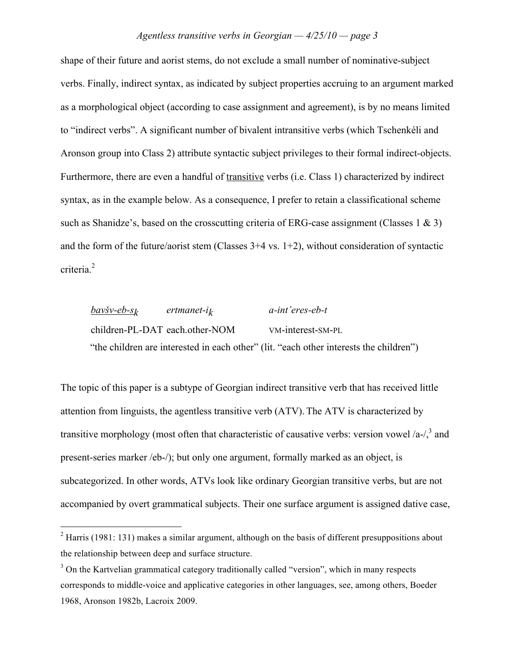shape of their future and aorist stems, do not exclude a small number of nominative-subject verbs. Finally, indirect syntax, as indicated by subject properties accruing to an argument marked as a morphological object (according to case assignment and agreement), is by no means limited to "indirect verbs". A significant number of bivalent intransitive verbs (which Tschenkéli and Aronson group into Class 2) attribute syntactic subject privileges to their formal indirect-objects. Furthermore, there are even a handful of transitive verbs (i.e. Class 1) characterized by indirect syntax, as in the example below. As a consequence, I prefer to retain a classificational scheme such as Shanidze's, based on the crosscutting criteria of ERG-case assignment (Classes 1  $\&$  3) and the form of the future/aorist stem (Classes  $3+4$  vs.  $1+2$ ), without consideration of syntactic criteria.<sup>2</sup>

*bav!v-eb-sk ertmanet-ik a-int'eres-eb-t*  children-PL-DAT each.other-NOM VM-interest-SM-PL "the children are interested in each other" (lit. "each other interests the children")

The topic of this paper is a subtype of Georgian indirect transitive verb that has received little attention from linguists, the agentless transitive verb (ATV). The ATV is characterized by transitive morphology (most often that characteristic of causative verbs: version vowel /a-/ $^3$  and present-series marker /eb-/); but only one argument, formally marked as an object, is subcategorized. In other words, ATVs look like ordinary Georgian transitive verbs, but are not accompanied by overt grammatical subjects. Their one surface argument is assigned dative case,

 $2$  Harris (1981: 131) makes a similar argument, although on the basis of different presuppositions about the relationship between deep and surface structure.

<sup>&</sup>lt;sup>3</sup> On the Kartvelian grammatical category traditionally called "version", which in many respects corresponds to middle-voice and applicative categories in other languages, see, among others, Boeder 1968, Aronson 1982b, Lacroix 2009.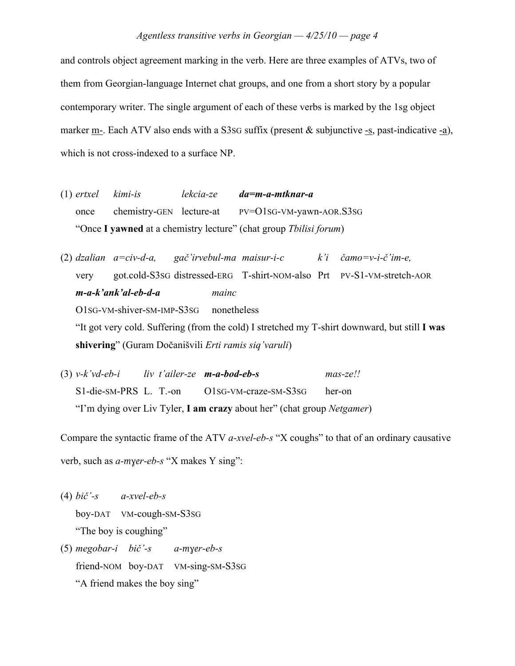and controls object agreement marking in the verb. Here are three examples of ATVs, two of them from Georgian-language Internet chat groups, and one from a short story by a popular contemporary writer. The single argument of each of these verbs is marked by the 1sg object marker m-. Each ATV also ends with a S3sG suffix (present & subjunctive -s, past-indicative -a), which is not cross-indexed to a surface NP.

- (1) *ertxel kimi-is lekcia-ze da=m-a-mtknar-a* once chemistry-GEN lecture-at PV=O1SG-VM-yawn-AOR.S3SG "Once **I yawned** at a chemistry lecture" (chat group *Tbilisi forum*)
- (2) *dzalian a=civ-d-a, ga"'irvebul-ma maisur-i-c k'i "amo=v-i-"'im-e,* very got.cold-S3SG distressed-ERG T-shirt-NOM-also Prt PV-S1-VM-stretch-AOR *m-a-k'ank'al-eb-d-a mainc* O1SG-VM-shiver-SM-IMP-S3SG nonetheless "It got very cold. Suffering (from the cold) I stretched my T-shirt downward, but still **I was** shivering" (Guram Dočanišvili *Erti ramis siq'varuli*)
- (3) *v-k'vd-eb-i liv t'ailer-ze m-a-bod-eb-s mas-ze!!* S1-die-SM-PRS L. T.-on O1SG-VM-craze-SM-S3SG her-on "I'm dying over Liv Tyler, **I am crazy** about her" (chat group *Netgamer*)

Compare the syntactic frame of the ATV *a-xvel-eb-s* "X coughs" to that of an ordinary causative verb, such as *a-myer-eb-s* "X makes Y sing":

- (4) *bi"'-s a-xvel-eb-s* boy-DAT VM-cough-SM-S3SG "The boy is coughing"
- $(5)$  *megobar-i bič* $\cdot$ -s *a-myer-eb-s* friend-NOM boy-DAT VM-sing-SM-S3SG "A friend makes the boy sing"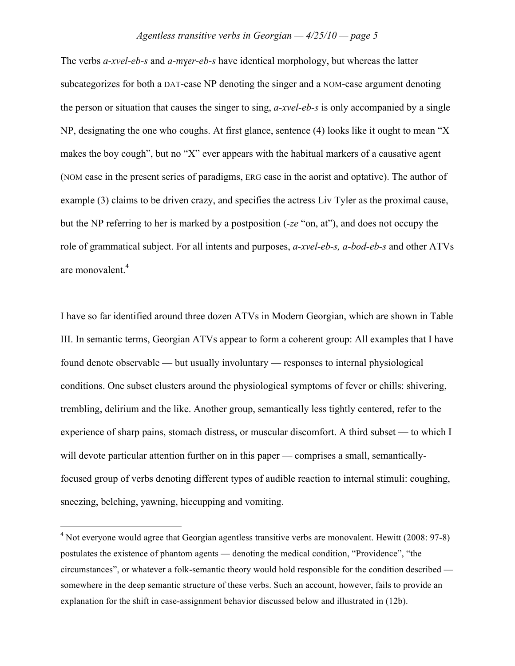The verbs *a-xvel-eb-s* and *a-myer-eb-s* have identical morphology, but whereas the latter subcategorizes for both a DAT-case NP denoting the singer and a NOM-case argument denoting the person or situation that causes the singer to sing, *a-xvel-eb-s* is only accompanied by a single NP, designating the one who coughs. At first glance, sentence (4) looks like it ought to mean "X makes the boy cough", but no "X" ever appears with the habitual markers of a causative agent (NOM case in the present series of paradigms, ERG case in the aorist and optative). The author of example (3) claims to be driven crazy, and specifies the actress Liv Tyler as the proximal cause, but the NP referring to her is marked by a postposition (*-ze* "on, at"), and does not occupy the role of grammatical subject. For all intents and purposes, *a-xvel-eb-s, a-bod-eb-s* and other ATVs are monovalent.<sup>4</sup>

I have so far identified around three dozen ATVs in Modern Georgian, which are shown in Table III. In semantic terms, Georgian ATVs appear to form a coherent group: All examples that I have found denote observable — but usually involuntary — responses to internal physiological conditions. One subset clusters around the physiological symptoms of fever or chills: shivering, trembling, delirium and the like. Another group, semantically less tightly centered, refer to the experience of sharp pains, stomach distress, or muscular discomfort. A third subset — to which I will devote particular attention further on in this paper — comprises a small, semanticallyfocused group of verbs denoting different types of audible reaction to internal stimuli: coughing, sneezing, belching, yawning, hiccupping and vomiting.

<sup>&</sup>lt;sup>4</sup> Not everyone would agree that Georgian agentless transitive verbs are monovalent. Hewitt (2008: 97-8) postulates the existence of phantom agents — denoting the medical condition, "Providence", "the circumstances", or whatever a folk-semantic theory would hold responsible for the condition described somewhere in the deep semantic structure of these verbs. Such an account, however, fails to provide an explanation for the shift in case-assignment behavior discussed below and illustrated in (12b).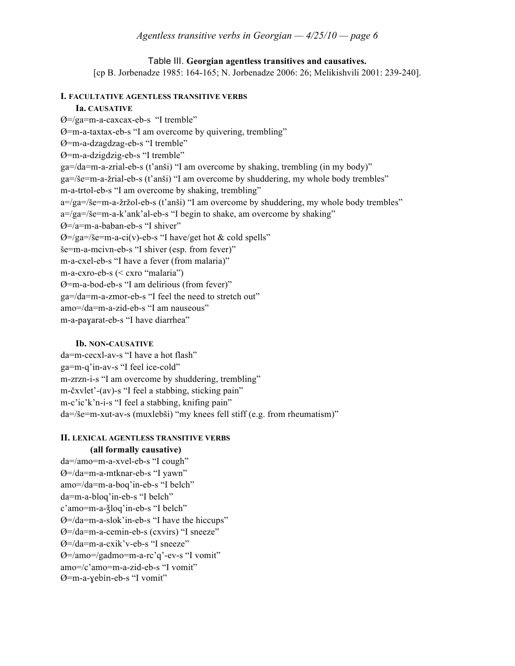## Table III. **Georgian agentless transitives and causatives.**

[cp B. Jorbenadze 1985: 164-165; N. Jorbenadze 2006: 26; Melikishvili 2001: 239-240].

#### **I. FACULTATIVE AGENTLESS TRANSITIVE VERBS**

#### **Ia. CAUSATIVE**

Ø=/ga=m-a-caxcax-eb-s "I tremble"  $Ø = m-a-ta$  xtax-eb-s "I am overcome by quivering, trembling" Ø=m-a-dzagdzag-eb-s "I tremble" Ø=m-a-dzigdzig-eb-s "I tremble"  $ga=$ /da=m-a-zrial-eb-s (t'anši) "I am overcome by shaking, trembling (in my body)"  $ga = / \xi e = m - a - \xi r$ ial-eb-s (t'an $\xi$ i) "I am overcome by shuddering, my whole body trembles" m-a-trtol-eb-s "I am overcome by shaking, trembling" a=/ga=/še=m-a-žržol-eb-s (t'anši) "I am overcome by shuddering, my whole body trembles"  $a=/ga=/\xi e=m-a-k'ank'al-eb-s$  "I begin to shake, am overcome by shaking" Ø=/a=m-a-baban-eb-s "I shiver"  $\varnothing$ =/ga=/še=m-a-ci(v)-eb-s "I have/get hot & cold spells"  $\varepsilon$ =m-a-mcivn-eb-s "I shiver (esp. from fever)" m-a-cxel-eb-s "I have a fever (from malaria)" m-a-cxro-eb-s (< cxro "malaria") Ø=m-a-bod-eb-s "I am delirious (from fever)" ga=/da=m-a-zmor-eb-s "I feel the need to stretch out" amo=/da=m-a-zid-eb-s "I am nauseous" m-a-payarat-eb-s "I have diarrhea"

#### **Ib. NON-CAUSATIVE**

da=m-cecxl-av-s "I have a hot flash" ga=m-q'in-av-s "I feel ice-cold" m-zrzn-i-s "I am overcome by shuddering, trembling"  $m$ - $\check{c}$ xvlet'-(av)-s "I feel a stabbing, sticking pain" m-c'ic'k'n-i-s "I feel a stabbing, knifing pain"  $da=$ / $\gamma$ e=m-xut-av-s (muxlebši) "my knees fell stiff (e.g. from rheumatism)"

#### **II. LEXICAL AGENTLESS TRANSITIVE VERBS (all formally causative)**

da=/amo=m-a-xvel-eb-s "I cough" Ø=/da=m-a-mtknar-eb-s "I yawn" amo=/da=m-a-boq'in-eb-s "I belch" da=m-a-bloq'in-eb-s "I belch" c'amo=m-a- $\frac{1}{2}$ loq'in-eb-s "I belch" Ø=/da=m-a-slok'in-eb-s "I have the hiccups" Ø=/da=m-a-cemin-eb-s (cxvirs) "I sneeze" Ø=/da=m-a-cxik'v-eb-s "I sneeze" Ø=/amo=/gadmo=m-a-rc'q'-ev-s "I vomit" amo=/c'amo=m-a-zid-eb-s "I vomit" Ø=m-a-yebin-eb-s "I vomit"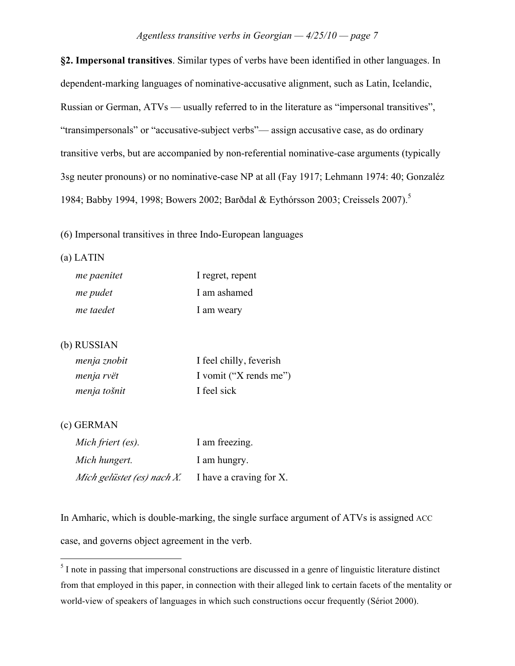**§2. Impersonal transitives**. Similar types of verbs have been identified in other languages. In dependent-marking languages of nominative-accusative alignment, such as Latin, Icelandic, Russian or German, ATVs — usually referred to in the literature as "impersonal transitives", "transimpersonals" or "accusative-subject verbs"— assign accusative case, as do ordinary transitive verbs, but are accompanied by non-referential nominative-case arguments (typically 3sg neuter pronouns) or no nominative-case NP at all (Fay 1917; Lehmann 1974: 40; Gonzaléz 1984; Babby 1994, 1998; Bowers 2002; Barðdal & Eythórsson 2003; Creissels 2007).<sup>5</sup>

(6) Impersonal transitives in three Indo-European languages

#### (a) LATIN

| me paenitet | I regret, repent |
|-------------|------------------|
| me pudet    | I am ashamed     |
| me taedet   | I am weary       |

#### (b) RUSSIAN

| menja znobit | I feel chilly, feverish |
|--------------|-------------------------|
| menja rvët   | I vomit ("X rends me")  |
| menja tošnit | I feel sick             |

#### (c) GERMAN

| Mich friert (es).          | I am freezing.          |
|----------------------------|-------------------------|
| Mich hungert.              | I am hungry.            |
| Mich gelüstet (es) nach X. | I have a craving for X. |

In Amharic, which is double-marking, the single surface argument of ATVs is assigned ACC case, and governs object agreement in the verb.

<sup>&</sup>lt;sup>5</sup> I note in passing that impersonal constructions are discussed in a genre of linguistic literature distinct from that employed in this paper, in connection with their alleged link to certain facets of the mentality or world-view of speakers of languages in which such constructions occur frequently (Sériot 2000).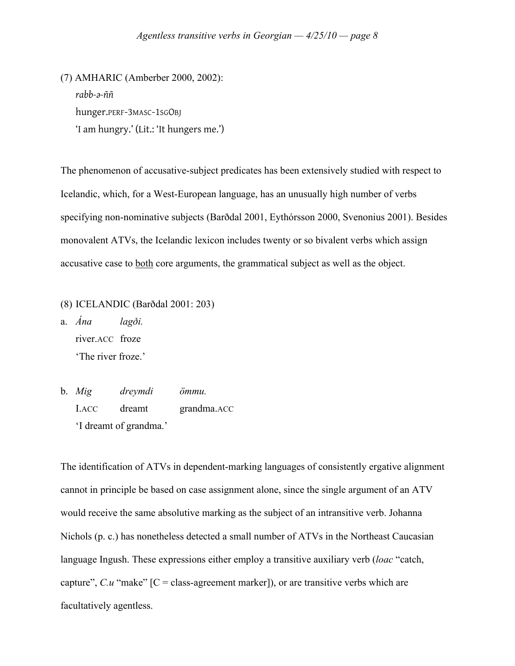(7) AMHARIC (Amberber 2000, 2002): *rabb-"-ññ* hunger.PERF-3MASC-1SGOBJ 'I am hungry.' (Lit.: 'It hungers me.')

The phenomenon of accusative-subject predicates has been extensively studied with respect to Icelandic, which, for a West-European language, has an unusually high number of verbs specifying non-nominative subjects (Bar\$dal 2001, Eythórsson 2000, Svenonius 2001). Besides monovalent ATVs, the Icelandic lexicon includes twenty or so bivalent verbs which assign accusative case to both core arguments, the grammatical subject as well as the object.

(8) ICELANDIC (Bar\$dal 2001: 203)

a.  $\dot{A}na$   $lag\delta i$ . river.ACC froze 'The river froze.'

b. *Mig dreymdi ömmu.* I.ACC dreamt grandma.ACC 'I dreamt of grandma.'

The identification of ATVs in dependent-marking languages of consistently ergative alignment cannot in principle be based on case assignment alone, since the single argument of an ATV would receive the same absolutive marking as the subject of an intransitive verb. Johanna Nichols (p. c.) has nonetheless detected a small number of ATVs in the Northeast Caucasian language Ingush. These expressions either employ a transitive auxiliary verb (*loac* "catch, capture",  $C.u$  "make"  $[C = class-agreement$  marker]), or are transitive verbs which are facultatively agentless.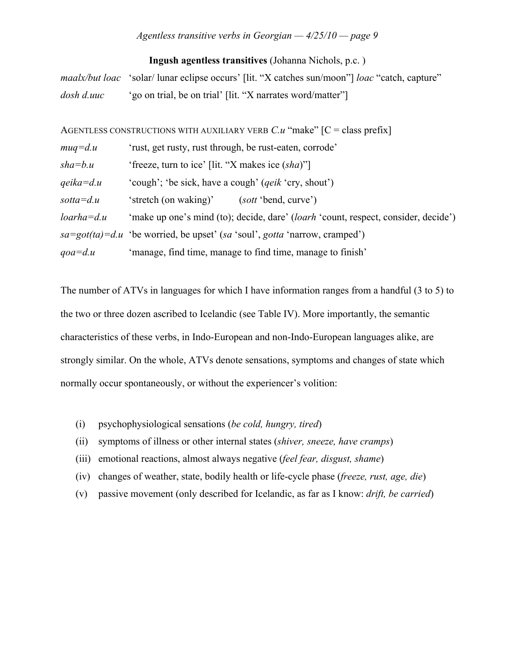#### **Ingush agentless transitives** (Johanna Nichols, p.c. )

*maalx/but loac* 'solar/ lunar eclipse occurs' [lit. "X catches sun/moon"] *loac* "catch, capture" *dosh d.uuc* 'go on trial, be on trial' [lit. "X narrates word/matter"]

AGENTLESS CONSTRUCTIONS WITH AUXILIARY VERB *C.u* "make" [C = class prefix]

| $muq = d.u$          | 'rust, get rusty, rust through, be rust-eaten, corrode'                            |  |  |  |  |
|----------------------|------------------------------------------------------------------------------------|--|--|--|--|
| $sha = b.u$          | 'freeze, turn to ice' [lit. "X makes ice (sha)"]                                   |  |  |  |  |
| $qeika = d.u$        | 'cough'; 'be sick, have a cough' ( <i>qeik</i> 'cry, shout')                       |  |  |  |  |
| $\textit{sotta}=d.u$ | 'stretch (on waking)'<br>( <i>sott</i> 'bend, curve')                              |  |  |  |  |
| ${partial=d.u}$      | 'make up one's mind (to); decide, dare' (loarh 'count, respect, consider, decide') |  |  |  |  |
|                      | $sa = got(ta) = d.u$ 'be worried, be upset' (sa 'soul', gotta 'narrow, cramped')   |  |  |  |  |
| $qoa = d.u$          | 'manage, find time, manage to find time, manage to finish'                         |  |  |  |  |

The number of ATVs in languages for which I have information ranges from a handful (3 to 5) to the two or three dozen ascribed to Icelandic (see Table IV). More importantly, the semantic characteristics of these verbs, in Indo-European and non-Indo-European languages alike, are strongly similar. On the whole, ATVs denote sensations, symptoms and changes of state which normally occur spontaneously, or without the experiencer's volition:

- (i) psychophysiological sensations (*be cold, hungry, tired*)
- (ii) symptoms of illness or other internal states (*shiver, sneeze, have cramps*)
- (iii) emotional reactions, almost always negative (*feel fear, disgust, shame*)
- (iv) changes of weather, state, bodily health or life-cycle phase (*freeze, rust, age, die*)
- (v) passive movement (only described for Icelandic, as far as I know: *drift, be carried*)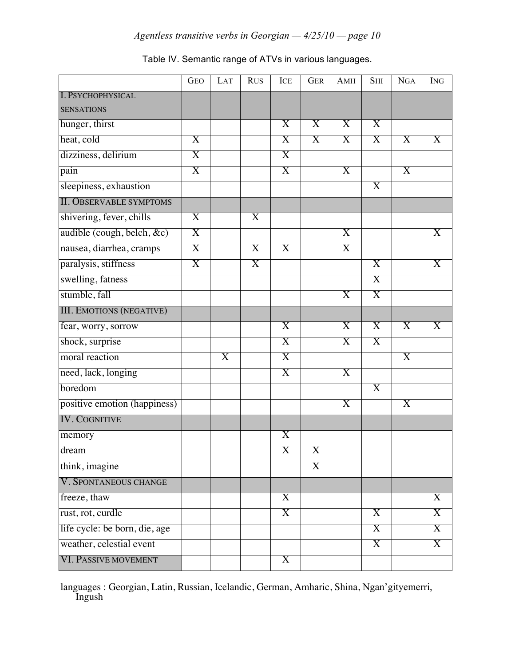|                                 | <b>GEO</b>              | LAT | <b>RUS</b>              | ICE                     | <b>GER</b>              | AMH                     | <b>SHI</b>              | <b>NGA</b>              | <b>ING</b>              |
|---------------------------------|-------------------------|-----|-------------------------|-------------------------|-------------------------|-------------------------|-------------------------|-------------------------|-------------------------|
| <b>I. PSYCHOPHYSICAL</b>        |                         |     |                         |                         |                         |                         |                         |                         |                         |
| <b>SENSATIONS</b>               |                         |     |                         |                         |                         |                         |                         |                         |                         |
| hunger, thirst                  |                         |     |                         | $\overline{X}$          | $\overline{X}$          | $\overline{X}$          | $\overline{\mathrm{X}}$ |                         |                         |
| heat, cold                      | X                       |     |                         | $\overline{\mathrm{X}}$ | $\overline{X}$          | $\overline{X}$          | $\overline{\mathrm{X}}$ | X                       | $\overline{\mathrm{X}}$ |
| dizziness, delirium             | X                       |     |                         | $\overline{X}$          |                         |                         |                         |                         |                         |
| pain                            | X                       |     |                         | $\overline{\mathrm{X}}$ |                         | X                       |                         | X                       |                         |
| sleepiness, exhaustion          |                         |     |                         |                         |                         |                         | X                       |                         |                         |
| <b>II. OBSERVABLE SYMPTOMS</b>  |                         |     |                         |                         |                         |                         |                         |                         |                         |
| shivering, fever, chills        | $\overline{\text{X}}$   |     | $\overline{\mathrm{X}}$ |                         |                         |                         |                         |                         |                         |
| audible (cough, belch, &c)      | $\overline{\mathrm{X}}$ |     |                         |                         |                         | X                       |                         |                         | X                       |
| nausea, diarrhea, cramps        | $\overline{\mathrm{X}}$ |     | X                       | X                       |                         | X                       |                         |                         |                         |
| paralysis, stiffness            | X                       |     | $\overline{\mathrm{X}}$ |                         |                         |                         | $\overline{\text{X}}$   |                         | $\overline{X}$          |
| swelling, fatness               |                         |     |                         |                         |                         |                         | $\overline{\text{X}}$   |                         |                         |
| stumble, fall                   |                         |     |                         |                         |                         | $\overline{\mathrm{X}}$ | Χ                       |                         |                         |
| <b>III. EMOTIONS (NEGATIVE)</b> |                         |     |                         |                         |                         |                         |                         |                         |                         |
| fear, worry, sorrow             |                         |     |                         | $\overline{X}$          |                         | $\overline{\mathrm{X}}$ | $\overline{\mathrm{X}}$ | $\overline{\mathrm{X}}$ | $\overline{X}$          |
| shock, surprise                 |                         |     |                         | $\overline{\mathrm{X}}$ |                         | $\overline{\text{X}}$   | X                       |                         |                         |
| moral reaction                  |                         | X   |                         | X                       |                         |                         |                         | X                       |                         |
| need, lack, longing             |                         |     |                         | X                       |                         | X                       |                         |                         |                         |
| boredom                         |                         |     |                         |                         |                         |                         | $\overline{\mathrm{X}}$ |                         |                         |
| positive emotion (happiness)    |                         |     |                         |                         |                         | $\overline{\mathrm{X}}$ |                         | $\overline{\mathrm{X}}$ |                         |
| <b>IV. COGNITIVE</b>            |                         |     |                         |                         |                         |                         |                         |                         |                         |
| memory                          |                         |     |                         | $\overline{\text{X}}$   |                         |                         |                         |                         |                         |
| $d$ ream                        |                         |     |                         | $\overline{\text{X}}$   | $\overline{X}$          |                         |                         |                         |                         |
| think, imagine                  |                         |     |                         |                         | $\overline{\mathrm{X}}$ |                         |                         |                         |                         |
| V. SPONTANEOUS CHANGE           |                         |     |                         |                         |                         |                         |                         |                         |                         |
| freeze, thaw                    |                         |     |                         | $\overline{X}$          |                         |                         |                         |                         | $\overline{X}$          |
| rust, rot, curdle               |                         |     |                         | X                       |                         |                         | $\overline{X}$          |                         | $\overline{\mathrm{X}}$ |
| life cycle: be born, die, age   |                         |     |                         |                         |                         |                         | $\overline{X}$          |                         | $\overline{X}$          |
| weather, celestial event        |                         |     |                         |                         |                         |                         | X                       |                         | $\overline{\mathrm{X}}$ |
| <b>VI. PASSIVE MOVEMENT</b>     |                         |     |                         | $\overline{X}$          |                         |                         |                         |                         |                         |

# Table IV. Semantic range of ATVs in various languages.

languages : Georgian, Latin, Russian, Icelandic, German, Amharic, Shina, Ngan'gityemerri, Ingush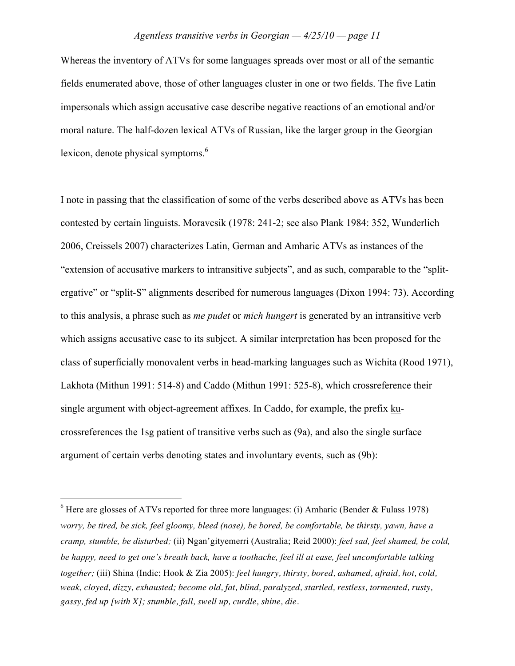Whereas the inventory of ATVs for some languages spreads over most or all of the semantic fields enumerated above, those of other languages cluster in one or two fields. The five Latin impersonals which assign accusative case describe negative reactions of an emotional and/or moral nature. The half-dozen lexical ATVs of Russian, like the larger group in the Georgian lexicon, denote physical symptoms.<sup>6</sup>

I note in passing that the classification of some of the verbs described above as ATVs has been contested by certain linguists. Moravcsik (1978: 241-2; see also Plank 1984: 352, Wunderlich 2006, Creissels 2007) characterizes Latin, German and Amharic ATVs as instances of the "extension of accusative markers to intransitive subjects", and as such, comparable to the "splitergative" or "split-S" alignments described for numerous languages (Dixon 1994: 73). According to this analysis, a phrase such as *me pudet* or *mich hungert* is generated by an intransitive verb which assigns accusative case to its subject. A similar interpretation has been proposed for the class of superficially monovalent verbs in head-marking languages such as Wichita (Rood 1971), Lakhota (Mithun 1991: 514-8) and Caddo (Mithun 1991: 525-8), which crossreference their single argument with object-agreement affixes. In Caddo, for example, the prefix kucrossreferences the 1sg patient of transitive verbs such as (9a), and also the single surface argument of certain verbs denoting states and involuntary events, such as (9b):

 $6$  Here are glosses of ATVs reported for three more languages: (i) Amharic (Bender & Fulass 1978) worry, be tired, be sick, feel gloomy, bleed (nose), be bored, be comfortable, be thirsty, yawn, have a *cramp, stumble, be disturbed;* (ii) Ngan'gityemerri (Australia; Reid 2000): *feel sad, feel shamed, be cold,* be happy, need to get one's breath back, have a toothache, feel ill at ease, feel uncomfortable talking *together;* (iii) Shina (Indic; Hook & Zia 2005): *feel hungry, thirsty, bored, ashamed, afraid, hot, cold, weak, cloyed, dizzy, exhausted; become old, fat, blind, paralyzed, startled, restless, tormented, rusty, gassy, fed up [with X]; stumble, fall, swell up, curdle, shine, die.*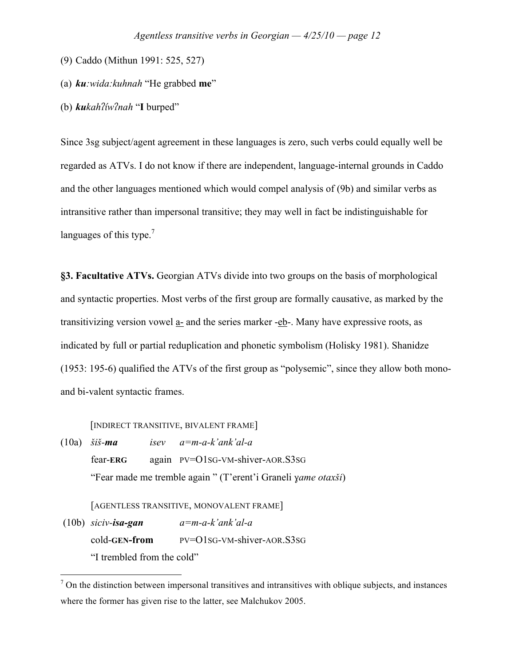- (9) Caddo (Mithun 1991: 525, 527)
- (a) *ku:wida:kuhnah* "He grabbed **me**"
- (b)  $kukah\frac{7}{w}$ *ah* "I burped"

Since 3sg subject/agent agreement in these languages is zero, such verbs could equally well be regarded as ATVs. I do not know if there are independent, language-internal grounds in Caddo and the other languages mentioned which would compel analysis of (9b) and similar verbs as intransitive rather than impersonal transitive; they may well in fact be indistinguishable for languages of this type.<sup>7</sup>

**§3. Facultative ATVs.** Georgian ATVs divide into two groups on the basis of morphological and syntactic properties. Most verbs of the first group are formally causative, as marked by the transitivizing version vowel  $\underline{a}$ - and the series marker - $\underline{eb}$ -. Many have expressive roots, as indicated by full or partial reduplication and phonetic symbolism (Holisky 1981). Shanidze (1953: 195-6) qualified the ATVs of the first group as "polysemic", since they allow both monoand bi-valent syntactic frames.

[INDIRECT TRANSITIVE, BIVALENT FRAME]

 $(10a)$  *šiš-ma isev*  $a=m-a-k'ank'al-a$ fear-**ERG** again PV=O1SG-VM-shiver-AOR.S3SG "Fear made me tremble again" (T'erent'i Graneli *yame otaxši*)

[AGENTLESS TRANSITIVE, MONOVALENT FRAME]

 (10b) *siciv-isa-gan a=m-a-k'ank'al-a* cold-**GEN-from** PV=O1SG-VM-shiver-AOR.S3SG "I trembled from the cold"

 $<sup>7</sup>$  On the distinction between impersonal transitives and intransitives with oblique subjects, and instances</sup> where the former has given rise to the latter, see Malchukov 2005.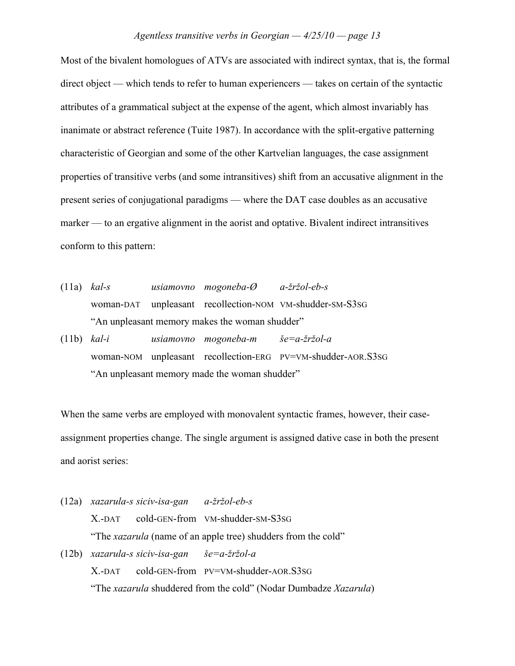Most of the bivalent homologues of ATVs are associated with indirect syntax, that is, the formal direct object — which tends to refer to human experiencers — takes on certain of the syntactic attributes of a grammatical subject at the expense of the agent, which almost invariably has inanimate or abstract reference (Tuite 1987). In accordance with the split-ergative patterning characteristic of Georgian and some of the other Kartvelian languages, the case assignment properties of transitive verbs (and some intransitives) shift from an accusative alignment in the present series of conjugational paradigms — where the DAT case doubles as an accusative marker — to an ergative alignment in the aorist and optative. Bivalent indirect intransitives conform to this pattern:

- (11a) *kal-s usiamovno mogoneba-Ø a-\$r\$ol-eb-s* woman-DAT unpleasant recollection-NOM VM-shudder-SM-S3SG "An unpleasant memory makes the woman shudder" (11b)  $kal-i$  *usiamovno mogoneba-m*  $\check{s}e=a-\check{z}r\check{z}ol-a$
- woman-NOM unpleasant recollection-ERG PV=VM-shudder-AOR.S3SG "An unpleasant memory made the woman shudder"

When the same verbs are employed with monovalent syntactic frames, however, their caseassignment properties change. The single argument is assigned dative case in both the present and aorist series:

(12a) *xazarula-s siciv-isa-gan a-\$r\$ol-eb-s* X.-DAT cold-GEN-from VM-shudder-SM-S3SG "The *xazarula* (name of an apple tree) shudders from the cold"  $(12b)$  *xazarula-s siciv-isa-gan*  $\check{g}e=a-\check{z}r\check{z}ol-a$ X.-DAT cold-GEN-from PV=VM-shudder-AOR.S3SG "The *xazarula* shuddered from the cold" (Nodar Dumbadze *Xazarula*)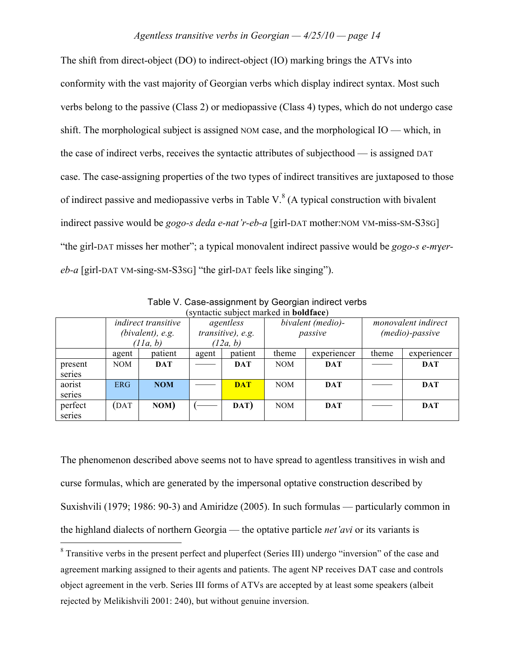The shift from direct-object (DO) to indirect-object (IO) marking brings the ATVs into conformity with the vast majority of Georgian verbs which display indirect syntax. Most such verbs belong to the passive (Class 2) or mediopassive (Class 4) types, which do not undergo case shift. The morphological subject is assigned NOM case, and the morphological IO — which, in the case of indirect verbs, receives the syntactic attributes of subjecthood — is assigned DAT case. The case-assigning properties of the two types of indirect transitives are juxtaposed to those of indirect passive and mediopassive verbs in Table V. $^8$  (A typical construction with bivalent indirect passive would be *gogo-s deda e-nat'r-eb-a* [girl-DAT mother:NOM VM-miss-SM-S3SG] "the girl-DAT misses her mother"; a typical monovalent indirect passive would be *gogo-s e-myereb-a* [girl-DAT VM-sing-SM-S3SG] "the girl-DAT feels like singing").

| $\mathcal{L}$ symactic subject marked in bold acc) |                                                               |            |                                            |            |                              |             |                                               |             |
|----------------------------------------------------|---------------------------------------------------------------|------------|--------------------------------------------|------------|------------------------------|-------------|-----------------------------------------------|-------------|
|                                                    | <i>indirect transitive</i><br>$(bivalent)$ , e.g.<br>(11a, b) |            | agentless<br>transitive), e.g.<br>(12a, b) |            | bivalent (medio)-<br>passive |             | <i>monovalent indirect</i><br>(medio)-passive |             |
|                                                    | agent                                                         | patient    | agent                                      | patient    | theme                        | experiencer | theme                                         | experiencer |
| present<br>series                                  | NOM                                                           | <b>DAT</b> |                                            | <b>DAT</b> | <b>NOM</b>                   | <b>DAT</b>  |                                               | <b>DAT</b>  |
| aorist<br>series                                   | <b>ERG</b>                                                    | <b>NOM</b> |                                            | <b>DAT</b> | <b>NOM</b>                   | <b>DAT</b>  |                                               | <b>DAT</b>  |
| perfect<br>series                                  | DAT                                                           | NOM)       |                                            | DAT)       | <b>NOM</b>                   | <b>DAT</b>  |                                               | <b>DAT</b>  |

Table V. Case-assignment by Georgian indirect verbs (syntactic subject marked in **boldface**)

The phenomenon described above seems not to have spread to agentless transitives in wish and curse formulas, which are generated by the impersonal optative construction described by Suxishvili (1979; 1986: 90-3) and Amiridze (2005). In such formulas — particularly common in the highland dialects of northern Georgia — the optative particle *net'avi* or its variants is

<sup>&</sup>lt;sup>8</sup> Transitive verbs in the present perfect and pluperfect (Series III) undergo "inversion" of the case and agreement marking assigned to their agents and patients. The agent NP receives DAT case and controls object agreement in the verb. Series III forms of ATVs are accepted by at least some speakers (albeit rejected by Melikishvili 2001: 240), but without genuine inversion.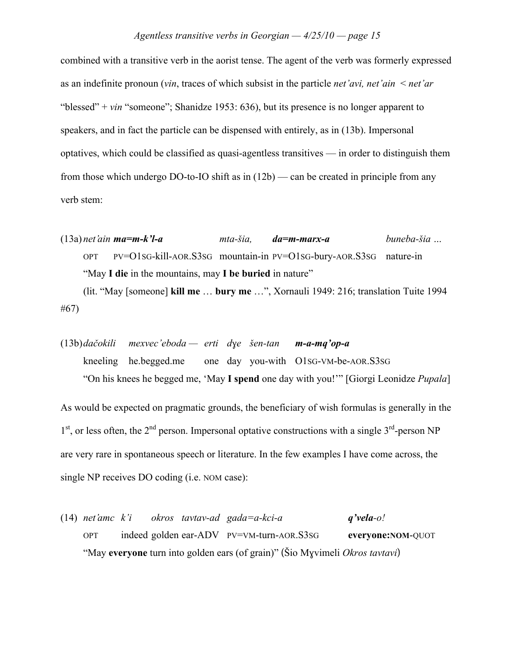combined with a transitive verb in the aorist tense. The agent of the verb was formerly expressed as an indefinite pronoun (*vin*, traces of which subsist in the particle *net'avi, net'ain* < *net'ar* "blessed" + *vin* "someone"; Shanidze 1953: 636), but its presence is no longer apparent to speakers, and in fact the particle can be dispensed with entirely, as in (13b). Impersonal optatives, which could be classified as quasi-agentless transitives — in order to distinguish them from those which undergo DO-to-IO shift as in (12b) — can be created in principle from any verb stem:

(13a) *net'ain ma=m-k'l-a mta-!ia, da=m-marx-a buneba-!ia …*  OPT PV=O1SG-kill-AOR.S3SG mountain-in PV=O1SG-bury-AOR.S3SG nature-in "May **I die** in the mountains, may **I be buried** in nature"

(lit. "May [someone] **kill me** … **bury me** …", Xornauli 1949: 216; translation Tuite 1994 #67)

(13b)*da"okili mexvec'eboda — erti d!e !en-tan m-a-mq'op-a* kneeling he.begged.me one day you-with O1SG-VM-be-AOR.S3SG "On his knees he begged me, 'May **I spend** one day with you!'" [Giorgi Leonidze *Pupala*]

As would be expected on pragmatic grounds, the beneficiary of wish formulas is generally in the  $1<sup>st</sup>$ , or less often, the  $2<sup>nd</sup>$  person. Impersonal optative constructions with a single  $3<sup>rd</sup>$ -person NP are very rare in spontaneous speech or literature. In the few examples I have come across, the single NP receives DO coding (i.e. NOM case):

(14) *net'amc k'i okros tavtav-ad gada=a-kci-a q'vela-o!*  OPT indeed golden ear-ADV PV=VM-turn-AOR.S3SG **everyone:NOM**-QUOT "May **everyone** turn into golden ears (of grain)" (Sio Myvimeli *Okros tavtavi*)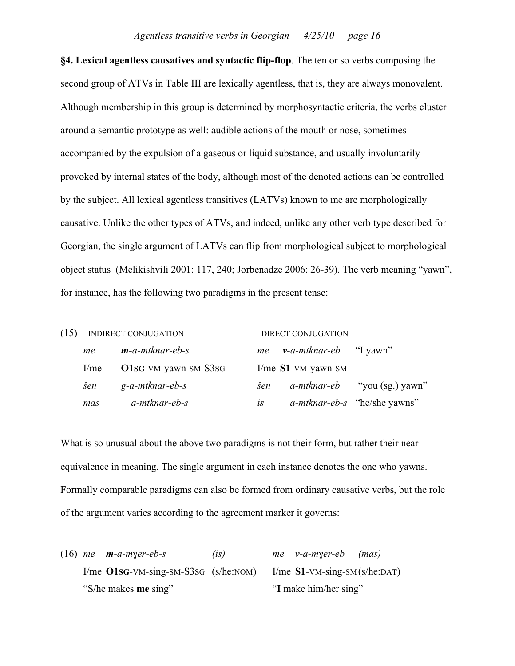**§4. Lexical agentless causatives and syntactic flip-flop**. The ten or so verbs composing the second group of ATVs in Table III are lexically agentless, that is, they are always monovalent. Although membership in this group is determined by morphosyntactic criteria, the verbs cluster around a semantic prototype as well: audible actions of the mouth or nose, sometimes accompanied by the expulsion of a gaseous or liquid substance, and usually involuntarily provoked by internal states of the body, although most of the denoted actions can be controlled by the subject. All lexical agentless transitives (LATVs) known to me are morphologically causative. Unlike the other types of ATVs, and indeed, unlike any other verb type described for Georgian, the single argument of LATVs can flip from morphological subject to morphological object status (Melikishvili 2001: 117, 240; Jorbenadze 2006: 26-39). The verb meaning "yawn", for instance, has the following two paradigms in the present tense:

| (15) |                  | <b>INDIRECT CONJUGATION</b> |           | DIRECT CONJUGATION            |                                     |  |
|------|------------------|-----------------------------|-----------|-------------------------------|-------------------------------------|--|
|      | me               | $m$ -a-mtknar-eb-s          | me        | <i>v-a-mtknar-eb</i> "I yawn" |                                     |  |
|      | 1/m <sub>e</sub> | $O1sG-VM-yawn-SM-S3SG$      |           | I/me $S1$ -VM-yawn-SM         |                                     |  |
|      | šen              | g-a-mtknar-eb-s             | šen       |                               | <i>a-mtknar-eb</i> "you (sg.) yawn" |  |
|      | mas              | a-mtknar-eb-s               | <b>is</b> |                               | <i>a-mtknar-eb-s</i> "he/she yawns" |  |

What is so unusual about the above two paradigms is not their form, but rather their nearequivalence in meaning. The single argument in each instance denotes the one who yawns. Formally comparable paradigms can also be formed from ordinary causative verbs, but the role of the argument varies according to the agreement marker it governs:

(16) *me*  $m$ *-a-m* $\gamma$ er-eb-s (is) *me*  $\nu$ -*a-m* $\gamma$ *er-eb* (mas) I/me **O1SG**-VM-sing-SM-S3SG (s/he:NOM) I/me **S1**-VM-sing-SM (s/he:DAT) "S/he makes **me** sing" "**I** make him/her sing"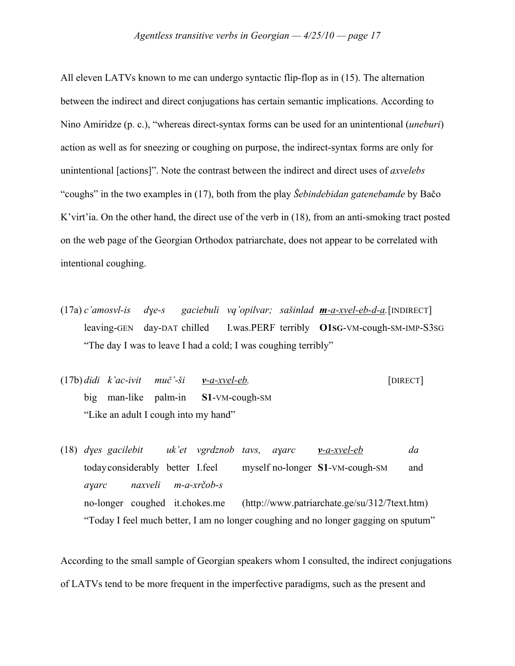All eleven LATVs known to me can undergo syntactic flip-flop as in (15). The alternation between the indirect and direct conjugations has certain semantic implications. According to Nino Amiridze (p. c.), "whereas direct-syntax forms can be used for an unintentional (*uneburi*) action as well as for sneezing or coughing on purpose, the indirect-syntax forms are only for unintentional [actions]". Note the contrast between the indirect and direct uses of *axvelebs* "coughs" in the two examples in (17), both from the play *Šebindebidan gatenebamde* by Bačo K'virt'ia. On the other hand, the direct use of the verb in (18), from an anti-smoking tract posted on the web page of the Georgian Orthodox patriarchate, does not appear to be correlated with intentional coughing.

- $(17a) c'amosvl-is$  *dye-s gaciebuli vq'opilvar; sašinlad* **m**-a-xvel-eb-d-a. [INDIRECT] leaving-GEN day-DAT chilled I.was.PERF terribly **O1SG**-VM-cough-SM-IMP-S3SG "The day I was to leave I had a cold; I was coughing terribly"
- $(17b)$  *didi*  $k'ac-ivit$  *muč* $-5i$  *v-a-xvel-eb.* [DIRECT] big man-like palm-in **S1**-VM-cough-SM "Like an adult I cough into my hand"

(18) *d!es gacilebit uk'et vgrdznob tavs, a!arc v-a-xvel-eb da* todayconsiderably better I.feel myself no-longer **S1**-VM-cough-SM and *a!arc naxveli m-a-xr\$ob-s* no-longer coughed it.chokes.me (http://www.patriarchate.ge/su/312/7text.htm) "Today I feel much better, I am no longer coughing and no longer gagging on sputum"

According to the small sample of Georgian speakers whom I consulted, the indirect conjugations of LATVs tend to be more frequent in the imperfective paradigms, such as the present and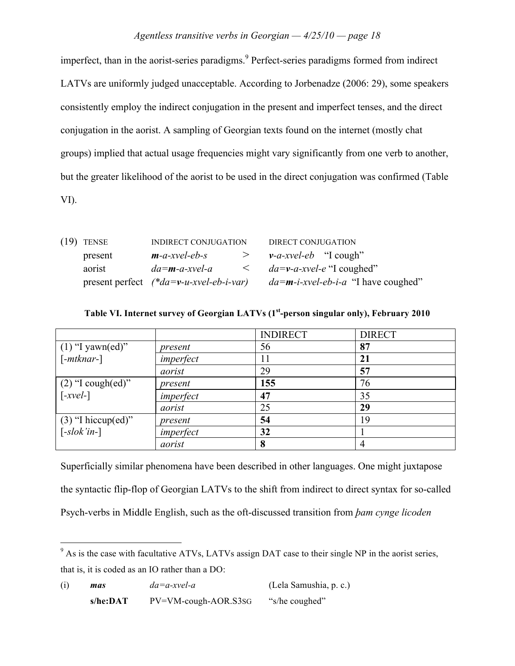imperfect, than in the aorist-series paradigms.<sup>9</sup> Perfect-series paradigms formed from indirect LATVs are uniformly judged unacceptable. According to Jorbenadze (2006: 29), some speakers consistently employ the indirect conjugation in the present and imperfect tenses, and the direct conjugation in the aorist. A sampling of Georgian texts found on the internet (mostly chat groups) implied that actual usage frequencies might vary significantly from one verb to another, but the greater likelihood of the aorist to be used in the direct conjugation was confirmed (Table VI).

| $(19)$ TENSE | INDIRECT CONJUGATION                      | DIRECT CONJUGATION                                |  |  |
|--------------|-------------------------------------------|---------------------------------------------------|--|--|
| present      | $m$ -a-xvel-eb-s<br>>                     | $v-a-xvel-eb$ "I cough"                           |  |  |
| aorist       | $da = m - a - xvel - a$<br>$\prec$        | $da=v-a-xvel-e$ "I coughed"                       |  |  |
|              | present perfect $(*da=v-u-xvel-eb-i-var)$ | $da = m - i - xvel - eb - i - a$ "I have coughed" |  |  |

|                                       |           | <b>INDIRECT</b> | <b>DIRECT</b> |
|---------------------------------------|-----------|-----------------|---------------|
| $(1)$ "I yawn(ed)"                    | present   | 56              | 87            |
| $[-mthnar-]$                          | imperfect |                 | 21            |
|                                       | aorist    | 29              | 57            |
| $(2)$ "I cough(ed)"                   | present   | 155             | 76            |
| $\lceil -xvel - \rceil$               | imperfect | 47              | 35            |
|                                       | aorist    | 25              | 29            |
| $(3)$ "I hiccup(ed)"                  | present   | 54              | 19            |
| $\left[ -s\right]$ <i>-slok'in-</i> ] | imperfect | 32              |               |
|                                       | aorist    | 8               |               |

## **Table VI. Internet survey of Georgian LATVs (1st -person singular only), February 2010**

Superficially similar phenomena have been described in other languages. One might juxtapose the syntactic flip-flop of Georgian LATVs to the shift from indirect to direct syntax for so-called Psych-verbs in Middle English, such as the oft-discussed transition from *bam cynge licoden* 

| (i) | mas       | $da = a$ -xvel-a     | (Lela Samushia, p. c.) |
|-----|-----------|----------------------|------------------------|
|     | s/he:DATA | PV=VM-cough-AOR.S3SG | "s/he coughed"         |

<sup>&</sup>lt;sup>9</sup> As is the case with facultative ATVs, LATVs assign DAT case to their single NP in the aorist series, that is, it is coded as an IO rather than a DO: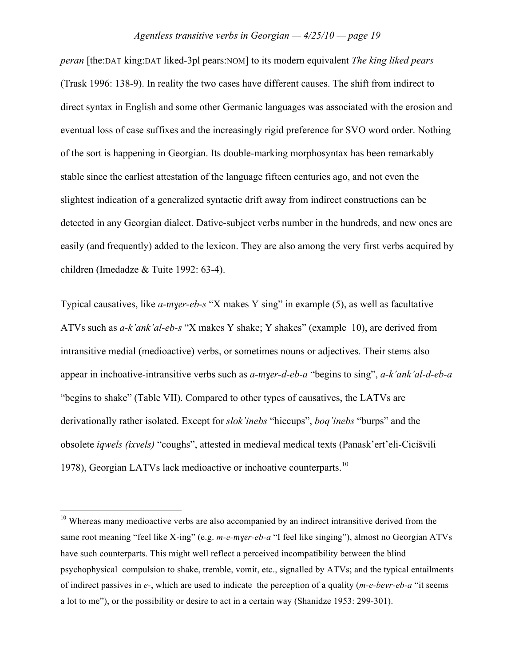*peran* [the:DAT king:DAT liked-3pl pears:NOM] to its modern equivalent *The king liked pears* (Trask 1996: 138-9). In reality the two cases have different causes. The shift from indirect to direct syntax in English and some other Germanic languages was associated with the erosion and eventual loss of case suffixes and the increasingly rigid preference for SVO word order. Nothing of the sort is happening in Georgian. Its double-marking morphosyntax has been remarkably stable since the earliest attestation of the language fifteen centuries ago, and not even the slightest indication of a generalized syntactic drift away from indirect constructions can be detected in any Georgian dialect. Dative-subject verbs number in the hundreds, and new ones are easily (and frequently) added to the lexicon. They are also among the very first verbs acquired by children (Imedadze & Tuite 1992: 63-4).

Typical causatives, like *a-myer-eb-s* "X makes Y sing" in example (5), as well as facultative ATVs such as *a-k'ank'al-eb-s* "X makes Y shake; Y shakes" (example 10), are derived from intransitive medial (medioactive) verbs, or sometimes nouns or adjectives. Their stems also appear in inchoative-intransitive verbs such as *a-myer-d-eb-a* "begins to sing", *a-k'ank'al-d-eb-a* "begins to shake" (Table VII). Compared to other types of causatives, the LATVs are derivationally rather isolated. Except for *slok'inebs* "hiccups", *boq'inebs* "burps" and the obsolete *iqwels (ixvels)* "coughs", attested in medieval medical texts (Panask'ert'eli-Cicišvili 1978), Georgian LATVs lack medioactive or inchoative counterparts.<sup>10</sup>

 $10$  Whereas many medioactive verbs are also accompanied by an indirect intransitive derived from the same root meaning "feel like X-ing" (e.g. *m-e-myer-eb-a* "I feel like singing"), almost no Georgian ATVs have such counterparts. This might well reflect a perceived incompatibility between the blind psychophysical compulsion to shake, tremble, vomit, etc., signalled by ATVs; and the typical entailments of indirect passives in *e-*, which are used to indicate the perception of a quality (*m-e-bevr-eb-a* "it seems a lot to me"), or the possibility or desire to act in a certain way (Shanidze 1953: 299-301).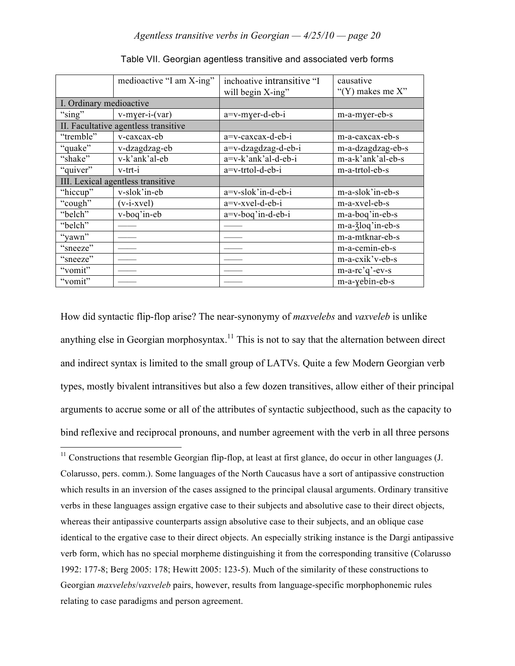|                                   | medioactive "I am X-ing"             | inchoative intransitive "I | causative                      |
|-----------------------------------|--------------------------------------|----------------------------|--------------------------------|
|                                   |                                      | will begin X-ing"          | "(Y) makes me $X$ "            |
| I. Ordinary medioactive           |                                      |                            |                                |
| "sing"                            | $v$ -myer-i- $(var)$                 | a=v-myer-d-eb-i            | m-a-myer-eb-s                  |
|                                   | II. Facultative agentless transitive |                            |                                |
| "tremble"                         | v-caxcax-eb                          | a=v-caxcax-d-eb-i          | m-a-caxcax-eb-s                |
| "quake"                           | v-dzagdzag-eb                        | a=v-dzagdzag-d-eb-i        | m-a-dzagdzag-eb-s              |
| "shake"                           | v-k'ank'al-eb                        | a=v-k'ank'al-d-eb-i        | m-a-k'ank'al-eb-s              |
| "quiver"                          | v-trt-i                              | a=v-trtol-d-eb-i           | m-a-trtol-eb-s                 |
| III. Lexical agentless transitive |                                      |                            |                                |
| "hiccup"                          | v-slok'in-eb                         | a=v-slok'in-d-eb-i         | m-a-slok'in-eb-s               |
| "cough"                           | $(v-i-xvel)$                         | a=v-xvel-d-eb-i            | m-a-xvel-eb-s                  |
| "belch"                           | v-boq'in-eb                          | a=v-boq'in-d-eb-i          | m-a-boq'in-eb-s                |
| "belch"                           |                                      |                            | m-a- $\frac{3}{2}$ loq'in-eb-s |
| "yawn"                            |                                      |                            | m-a-mtknar-eb-s                |
| "sneeze"                          |                                      |                            | m-a-cemin-eb-s                 |
| "sneeze"                          |                                      |                            | m-a-cxik'v-eb-s                |
| "vomit"                           |                                      |                            | $m-a-rc'q'-ev-s$               |
| "vomit"                           |                                      |                            | m-a-yebin-eb-s                 |

Table VII. Georgian agentless transitive and associated verb forms

How did syntactic flip-flop arise? The near-synonymy of *maxvelebs* and *vaxveleb* is unlike anything else in Georgian morphosyntax.<sup>11</sup> This is not to say that the alternation between direct and indirect syntax is limited to the small group of LATVs. Quite a few Modern Georgian verb types, mostly bivalent intransitives but also a few dozen transitives, allow either of their principal arguments to accrue some or all of the attributes of syntactic subjecthood, such as the capacity to bind reflexive and reciprocal pronouns, and number agreement with the verb in all three persons

 $11$  Constructions that resemble Georgian flip-flop, at least at first glance, do occur in other languages (J. Colarusso, pers. comm.). Some languages of the North Caucasus have a sort of antipassive construction which results in an inversion of the cases assigned to the principal clausal arguments. Ordinary transitive verbs in these languages assign ergative case to their subjects and absolutive case to their direct objects, whereas their antipassive counterparts assign absolutive case to their subjects, and an oblique case identical to the ergative case to their direct objects. An especially striking instance is the Dargi antipassive verb form, which has no special morpheme distinguishing it from the corresponding transitive (Colarusso 1992: 177-8; Berg 2005: 178; Hewitt 2005: 123-5). Much of the similarity of these constructions to Georgian *maxvelebs*/*vaxveleb* pairs, however, results from language-specific morphophonemic rules relating to case paradigms and person agreement.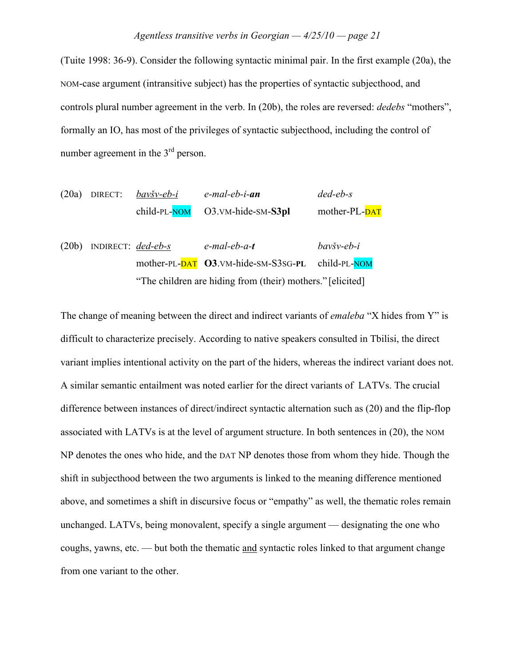(Tuite 1998: 36-9). Consider the following syntactic minimal pair. In the first example (20a), the NOM-case argument (intransitive subject) has the properties of syntactic subjecthood, and controls plural number agreement in the verb. In (20b), the roles are reversed: *dedebs* "mothers", formally an IO, has most of the privileges of syntactic subjecthood, including the control of number agreement in the  $3<sup>rd</sup>$  person.

|  | $(20a)$ DIRECT: <i>bavšv-eb-i</i> | e-mal-eb-i- <b>an</b>               | $ded$ -eb-s   |
|--|-----------------------------------|-------------------------------------|---------------|
|  |                                   | $child-PL-NOM$ $O3.VM-hide-SM-S3pl$ | mother-PL-DAT |
|  |                                   |                                     |               |

(20b) INDIRECT: *ded-eb-s e-mal-eb-a-t bavšv-eb-i* mother-PL-DAT **O3**.VM-hide-SM-S3SG-**PL** child-PL-NOM "The children are hiding from (their) mothers." [elicited]

The change of meaning between the direct and indirect variants of *emaleba* "X hides from Y" is difficult to characterize precisely. According to native speakers consulted in Tbilisi, the direct variant implies intentional activity on the part of the hiders, whereas the indirect variant does not. A similar semantic entailment was noted earlier for the direct variants of LATVs. The crucial difference between instances of direct/indirect syntactic alternation such as (20) and the flip-flop associated with LATVs is at the level of argument structure. In both sentences in (20), the NOM NP denotes the ones who hide, and the DAT NP denotes those from whom they hide. Though the shift in subjecthood between the two arguments is linked to the meaning difference mentioned above, and sometimes a shift in discursive focus or "empathy" as well, the thematic roles remain unchanged. LATVs, being monovalent, specify a single argument — designating the one who coughs, yawns, etc. — but both the thematic and syntactic roles linked to that argument change from one variant to the other.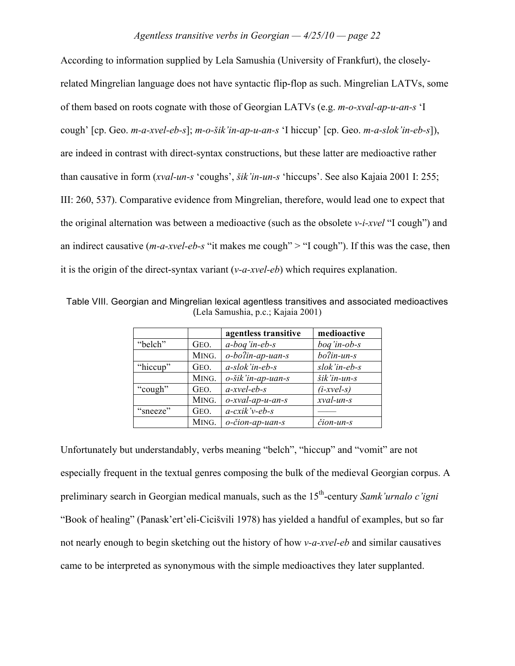According to information supplied by Lela Samushia (University of Frankfurt), the closelyrelated Mingrelian language does not have syntactic flip-flop as such. Mingrelian LATVs, some of them based on roots cognate with those of Georgian LATVs (e.g. *m-o-xval-ap-u-an-s* 'I cough' [cp. Geo. *m-a-xvel-eb-s*]; *m-o-šik'in-ap-u-an-s* 'I hiccup' [cp. Geo. *m-a-slok'in-eb-s*]), are indeed in contrast with direct-syntax constructions, but these latter are medioactive rather than causative in form (*xval-un-s* 'coughs', *!ik'in-un-s* 'hiccups'. See also Kajaia 2001 I: 255; III: 260, 537). Comparative evidence from Mingrelian, therefore, would lead one to expect that the original alternation was between a medioactive (such as the obsolete *v-i-xvel* "I cough") and an indirect causative (*m-a-xvel-eb-s* "it makes me cough" > "I cough"). If this was the case, then it is the origin of the direct-syntax variant (*v-a-xvel-eb*) which requires explanation.

|          |       | agentless transitive | medioactive   |
|----------|-------|----------------------|---------------|
| "belch"  | GEO.  | $a-bog'$ in-eb-s     | boq'in-ob-s   |
|          | MING. | o-bolin-ap-uan-s     | bo?in-un-s    |
| "hiccup" | GEO.  | $a$ -slok'in-eb-s    | slok'in-eb-s  |
|          | MING. | o-šik'in-ap-uan-s    | šik'in-un-s   |
| "cough"  | GEO.  | $a$ -xvel-eb-s       | $(i$ -xvel-s) |
|          | MING. | o-xval-ap-u-an-s     | xval-un-s     |
| "sneeze" | GEO.  | $a$ -cxik'v-eb-s     |               |
|          | MING. | o-čion-ap-uan-s      | čion-un-s     |

Table VIII. Georgian and Mingrelian lexical agentless transitives and associated medioactives (Lela Samushia, p.c.; Kajaia 2001)

Unfortunately but understandably, verbs meaning "belch", "hiccup" and "vomit" are not especially frequent in the textual genres composing the bulk of the medieval Georgian corpus. A preliminary search in Georgian medical manuals, such as the 15<sup>th</sup>-century Samk'urnalo c'igni "Book of healing" (Panask'ert'eli-Cicišvili 1978) has yielded a handful of examples, but so far not nearly enough to begin sketching out the history of how *v-a-xvel-eb* and similar causatives came to be interpreted as synonymous with the simple medioactives they later supplanted.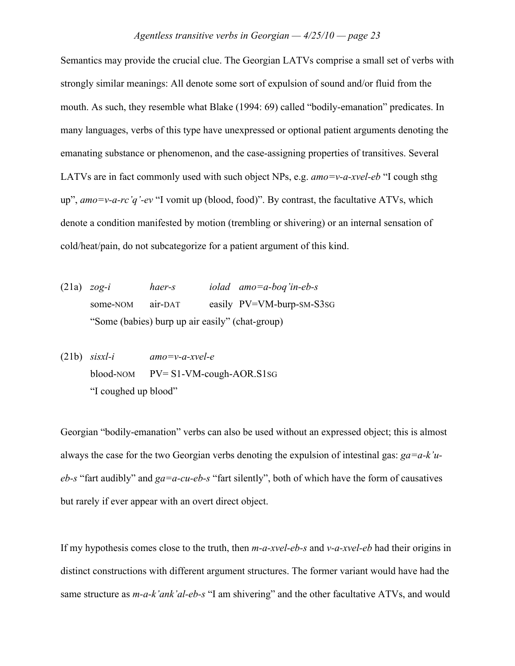Semantics may provide the crucial clue. The Georgian LATVs comprise a small set of verbs with strongly similar meanings: All denote some sort of expulsion of sound and/or fluid from the mouth. As such, they resemble what Blake (1994: 69) called "bodily-emanation" predicates. In many languages, verbs of this type have unexpressed or optional patient arguments denoting the emanating substance or phenomenon, and the case-assigning properties of transitives. Several LATVs are in fact commonly used with such object NPs, e.g. *amo=v-a-xvel-eb* "I cough sthg up", *amo=v-a-rc'q'-ev* "I vomit up (blood, food)". By contrast, the facultative ATVs, which denote a condition manifested by motion (trembling or shivering) or an internal sensation of cold/heat/pain, do not subcategorize for a patient argument of this kind.

- (21a) *zog-i haer-s iolad amo=a-boq'in-eb-s* some-NOM air-DAT easily PV=VM-burp-SM-S3SG "Some (babies) burp up air easily" (chat-group)
- (21b) *sisxl-i amo=v-a-xvel-e* blood-NOM PV= S1-VM-cough-AOR.S1SG "I coughed up blood"

Georgian "bodily-emanation" verbs can also be used without an expressed object; this is almost always the case for the two Georgian verbs denoting the expulsion of intestinal gas: *ga=a-k'ueb-s* "fart audibly" and *ga=a-cu-eb-s* "fart silently", both of which have the form of causatives but rarely if ever appear with an overt direct object.

If my hypothesis comes close to the truth, then *m-a-xvel-eb-s* and *v-a-xvel-eb* had their origins in distinct constructions with different argument structures. The former variant would have had the same structure as *m-a-k'ank'al-eb-s* "I am shivering" and the other facultative ATVs, and would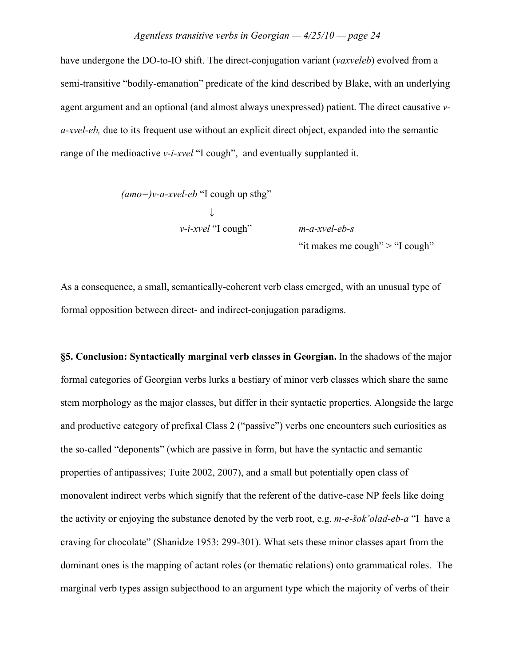have undergone the DO-to-IO shift. The direct-conjugation variant (*vaxveleb*) evolved from a semi-transitive "bodily-emanation" predicate of the kind described by Blake, with an underlying agent argument and an optional (and almost always unexpressed) patient. The direct causative *va-xvel-eb,* due to its frequent use without an explicit direct object, expanded into the semantic range of the medioactive *v*-*i-xvel* "I cough", and eventually supplanted it.

$$
(amo=)v-a-xvel-eb
$$
 "I cough up sthg"  
\n $\downarrow$   
\n $v-i-xvel$  "I cough"

*m-a-xvel-eb-s* "it makes me cough" > "I cough"

As a consequence, a small, semantically-coherent verb class emerged, with an unusual type of formal opposition between direct- and indirect-conjugation paradigms.

**§5. Conclusion: Syntactically marginal verb classes in Georgian.** In the shadows of the major formal categories of Georgian verbs lurks a bestiary of minor verb classes which share the same stem morphology as the major classes, but differ in their syntactic properties. Alongside the large and productive category of prefixal Class 2 ("passive") verbs one encounters such curiosities as the so-called "deponents" (which are passive in form, but have the syntactic and semantic properties of antipassives; Tuite 2002, 2007), and a small but potentially open class of monovalent indirect verbs which signify that the referent of the dative-case NP feels like doing the activity or enjoying the substance denoted by the verb root, e.g. *m-e-sok'olad-eb-a* "I have a craving for chocolate" (Shanidze 1953: 299-301). What sets these minor classes apart from the dominant ones is the mapping of actant roles (or thematic relations) onto grammatical roles. The marginal verb types assign subjecthood to an argument type which the majority of verbs of their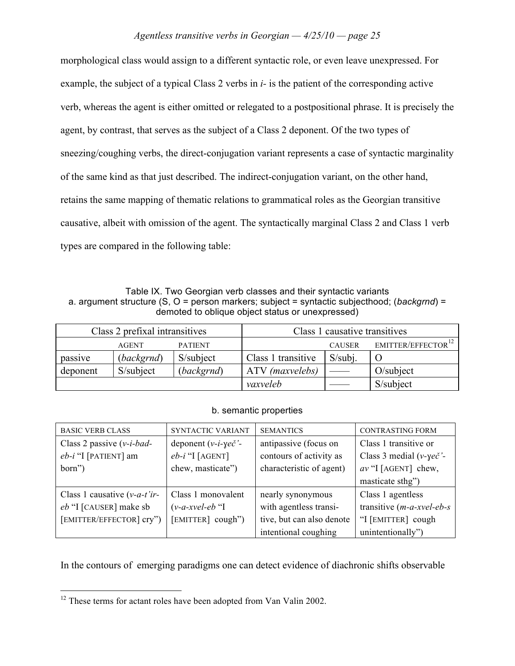morphological class would assign to a different syntactic role, or even leave unexpressed. For example, the subject of a typical Class 2 verbs in *i-* is the patient of the corresponding active verb, whereas the agent is either omitted or relegated to a postpositional phrase. It is precisely the agent, by contrast, that serves as the subject of a Class 2 deponent. Of the two types of sneezing/coughing verbs, the direct-conjugation variant represents a case of syntactic marginality of the same kind as that just described. The indirect-conjugation variant, on the other hand, retains the same mapping of thematic relations to grammatical roles as the Georgian transitive causative, albeit with omission of the agent. The syntactically marginal Class 2 and Class 1 verb types are compared in the following table:

Table IX. Two Georgian verb classes and their syntactic variants a. argument structure (S, O = person markers; subject = syntactic subjecthood; (*backgrnd*) = demoted to oblique object status or unexpressed)

| Class 2 prefixal intransitives |              | Class 1 causative transitives |                    |               |                                |
|--------------------------------|--------------|-------------------------------|--------------------|---------------|--------------------------------|
|                                | <b>AGENT</b> | <b>PATIENT</b>                |                    | <b>CAUSER</b> | EMITTER/EFFECTOR <sup>12</sup> |
| passive                        | (backgrnd)   | S/subject                     | Class 1 transitive | $S/subi$ .    |                                |
| deponent                       | S/subject    | (backgrnd)                    | ATV (maxvelebs)    |               | O/subject                      |
|                                |              |                               | vaxveleb           |               | S/subject                      |

## b. semantic properties

| <b>BASIC VERB CLASS</b>                  | SYNTACTIC VARIANT                  | <b>SEMANTICS</b>          | <b>CONTRASTING FORM</b>      |
|------------------------------------------|------------------------------------|---------------------------|------------------------------|
| Class 2 passive $(v-i-bad -$             | deponent $(v-i-\gamma e\check{c})$ | antipassive (focus on     | Class 1 transitive or        |
| $eb-i$ "I [PATIENT] am                   | $eb-i$ "I [AGENT]                  | contours of activity as   | Class 3 medial ( $v$ -yec''- |
| born")                                   | chew, masticate")                  | characteristic of agent)  | $av$ "I [AGENT] chew,        |
|                                          |                                    |                           | masticate sthg")             |
| Class 1 causative $(v-a-t)$ <sup>*</sup> | Class 1 monovalent                 | nearly synonymous         | Class 1 agentless            |
| eb "I [CAUSER] make sb                   | $(v-a-xvel-eb$ "I                  | with agentless transi-    | transitive $(m-a-xvel-eb-s)$ |
| [EMITTER/EFFECTOR] cry")                 | [EMITTER] cough")                  | tive, but can also denote | "I [EMITTER] cough           |
|                                          |                                    | intentional coughing      | unintentionally")            |

In the contours of emerging paradigms one can detect evidence of diachronic shifts observable

<sup>&</sup>lt;sup>12</sup> These terms for actant roles have been adopted from Van Valin 2002.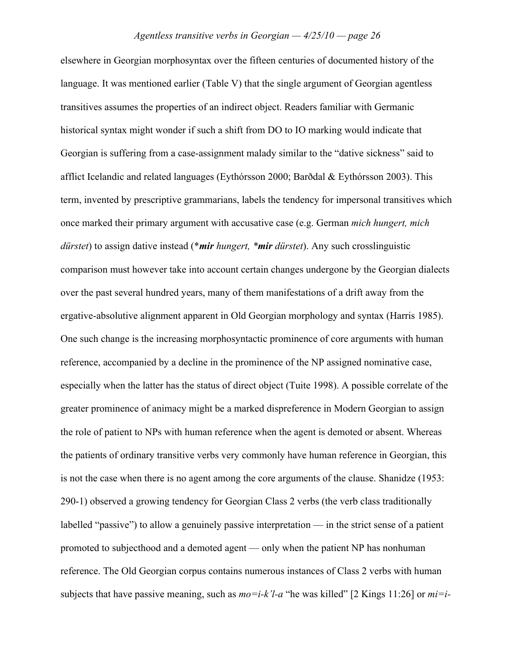elsewhere in Georgian morphosyntax over the fifteen centuries of documented history of the language. It was mentioned earlier (Table V) that the single argument of Georgian agentless transitives assumes the properties of an indirect object. Readers familiar with Germanic historical syntax might wonder if such a shift from DO to IO marking would indicate that Georgian is suffering from a case-assignment malady similar to the "dative sickness" said to afflict Icelandic and related languages (Eythórsson 2000; Bar\$dal & Eythórsson 2003). This term, invented by prescriptive grammarians, labels the tendency for impersonal transitives which once marked their primary argument with accusative case (e.g. German *mich hungert, mich dürstet*) to assign dative instead (\**mir hungert, \*mir dürstet*). Any such crosslinguistic comparison must however take into account certain changes undergone by the Georgian dialects over the past several hundred years, many of them manifestations of a drift away from the ergative-absolutive alignment apparent in Old Georgian morphology and syntax (Harris 1985). One such change is the increasing morphosyntactic prominence of core arguments with human reference, accompanied by a decline in the prominence of the NP assigned nominative case, especially when the latter has the status of direct object (Tuite 1998). A possible correlate of the greater prominence of animacy might be a marked dispreference in Modern Georgian to assign the role of patient to NPs with human reference when the agent is demoted or absent. Whereas the patients of ordinary transitive verbs very commonly have human reference in Georgian, this is not the case when there is no agent among the core arguments of the clause. Shanidze (1953: 290-1) observed a growing tendency for Georgian Class 2 verbs (the verb class traditionally labelled "passive") to allow a genuinely passive interpretation — in the strict sense of a patient promoted to subjecthood and a demoted agent — only when the patient NP has nonhuman reference. The Old Georgian corpus contains numerous instances of Class 2 verbs with human subjects that have passive meaning, such as *mo=i-k'l-a* "he was killed" [2 Kings 11:26] or *mi=i-*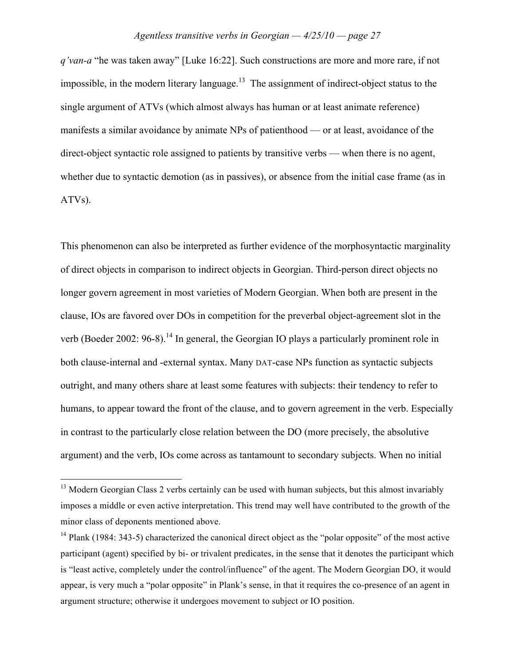*q'van-a* "he was taken away" [Luke 16:22]. Such constructions are more and more rare, if not impossible, in the modern literary language.<sup>13</sup> The assignment of indirect-object status to the single argument of ATVs (which almost always has human or at least animate reference) manifests a similar avoidance by animate NPs of patienthood — or at least, avoidance of the direct-object syntactic role assigned to patients by transitive verbs — when there is no agent, whether due to syntactic demotion (as in passives), or absence from the initial case frame (as in ATVs).

This phenomenon can also be interpreted as further evidence of the morphosyntactic marginality of direct objects in comparison to indirect objects in Georgian. Third-person direct objects no longer govern agreement in most varieties of Modern Georgian. When both are present in the clause, IOs are favored over DOs in competition for the preverbal object-agreement slot in the verb (Boeder 2002:  $96-8$ ).<sup>14</sup> In general, the Georgian IO plays a particularly prominent role in both clause-internal and -external syntax. Many DAT-case NPs function as syntactic subjects outright, and many others share at least some features with subjects: their tendency to refer to humans, to appear toward the front of the clause, and to govern agreement in the verb. Especially in contrast to the particularly close relation between the DO (more precisely, the absolutive argument) and the verb, IOs come across as tantamount to secondary subjects. When no initial

 $13$  Modern Georgian Class 2 verbs certainly can be used with human subjects, but this almost invariably imposes a middle or even active interpretation. This trend may well have contributed to the growth of the minor class of deponents mentioned above.

<sup>&</sup>lt;sup>14</sup> Plank (1984: 343-5) characterized the canonical direct object as the "polar opposite" of the most active participant (agent) specified by bi- or trivalent predicates, in the sense that it denotes the participant which is "least active, completely under the control/influence" of the agent. The Modern Georgian DO, it would appear, is very much a "polar opposite" in Plank's sense, in that it requires the co-presence of an agent in argument structure; otherwise it undergoes movement to subject or IO position.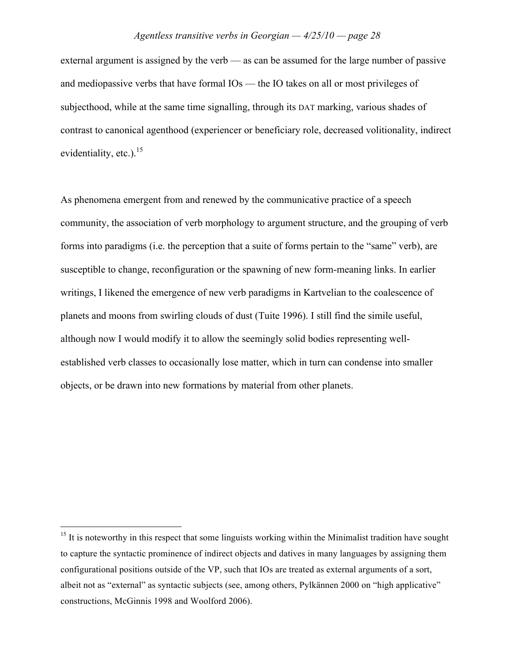external argument is assigned by the verb — as can be assumed for the large number of passive and mediopassive verbs that have formal IOs — the IO takes on all or most privileges of subjecthood, while at the same time signalling, through its DAT marking, various shades of contrast to canonical agenthood (experiencer or beneficiary role, decreased volitionality, indirect evidentiality, etc.). $^{15}$ 

As phenomena emergent from and renewed by the communicative practice of a speech community, the association of verb morphology to argument structure, and the grouping of verb forms into paradigms (i.e. the perception that a suite of forms pertain to the "same" verb), are susceptible to change, reconfiguration or the spawning of new form-meaning links. In earlier writings, I likened the emergence of new verb paradigms in Kartvelian to the coalescence of planets and moons from swirling clouds of dust (Tuite 1996). I still find the simile useful, although now I would modify it to allow the seemingly solid bodies representing wellestablished verb classes to occasionally lose matter, which in turn can condense into smaller objects, or be drawn into new formations by material from other planets.

 $15$  It is noteworthy in this respect that some linguists working within the Minimalist tradition have sought to capture the syntactic prominence of indirect objects and datives in many languages by assigning them configurational positions outside of the VP, such that IOs are treated as external arguments of a sort, albeit not as "external" as syntactic subjects (see, among others, Pylkännen 2000 on "high applicative" constructions, McGinnis 1998 and Woolford 2006).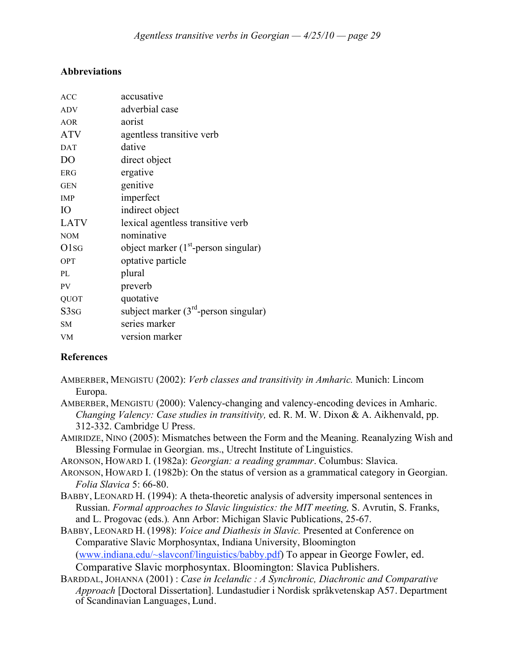# **Abbreviations**

| <b>ACC</b>                    | accusative                              |
|-------------------------------|-----------------------------------------|
| <b>ADV</b>                    | adverbial case                          |
| <b>AOR</b>                    | aorist                                  |
| <b>ATV</b>                    | agentless transitive verb               |
| <b>DAT</b>                    | dative                                  |
| D <sub>O</sub>                | direct object                           |
| <b>ERG</b>                    | ergative                                |
| <b>GEN</b>                    | genitive                                |
| <b>IMP</b>                    | imperfect                               |
| <b>IO</b>                     | indirect object                         |
| <b>LATV</b>                   | lexical agentless transitive verb       |
| <b>NOM</b>                    | nominative                              |
| O <sub>1</sub> s <sub>G</sub> | object marker $(1st$ -person singular)  |
| <b>OPT</b>                    | optative particle                       |
| PI.                           | plural                                  |
| PV                            | preverb                                 |
| QUOT                          | quotative                               |
| S3 <sub>SG</sub>              | subject marker $(3rd$ -person singular) |
| <b>SM</b>                     | series marker                           |
| <b>VM</b>                     | version marker                          |

# **References**

- AMBERBER, MENGISTU (2002): *Verb classes and transitivity in Amharic.* Munich: Lincom Europa.
- AMBERBER, MENGISTU (2000): Valency-changing and valency-encoding devices in Amharic. *Changing Valency: Case studies in transitivity,* ed. R. M. W. Dixon & A. Aikhenvald, pp. 312-332. Cambridge U Press.
- AMIRIDZE, NINO (2005): Mismatches between the Form and the Meaning. Reanalyzing Wish and Blessing Formulae in Georgian. ms., Utrecht Institute of Linguistics.
- ARONSON, HOWARD I. (1982a): *Georgian: a reading grammar*. Columbus: Slavica.
- ARONSON, HOWARD I. (1982b): On the status of version as a grammatical category in Georgian. *Folia Slavica* 5: 66-80.
- BABBY, LEONARD H. (1994): A theta-theoretic analysis of adversity impersonal sentences in Russian. *Formal approaches to Slavic linguistics: the MIT meeting,* S. Avrutin, S. Franks, and L. Progovac (eds.)*.* Ann Arbor: Michigan Slavic Publications, 25-67.
- BABBY, LEONARD H. (1998): *Voice and Diathesis in Slavic.* Presented at Conference on Comparative Slavic Morphosyntax, Indiana University, Bloomington (www.indiana.edu/~slavconf/linguistics/babby.pdf) To appear in George Fowler, ed. Comparative Slavic morphosyntax. Bloomington: Slavica Publishers.
- BAR<sub>DDAL</sub>, JOHANNA (2001) : *Case in Icelandic* : *A Synchronic, Diachronic and Comparative Approach* [Doctoral Dissertation]. Lundastudier i Nordisk språkvetenskap A57. Department of Scandinavian Languages, Lund.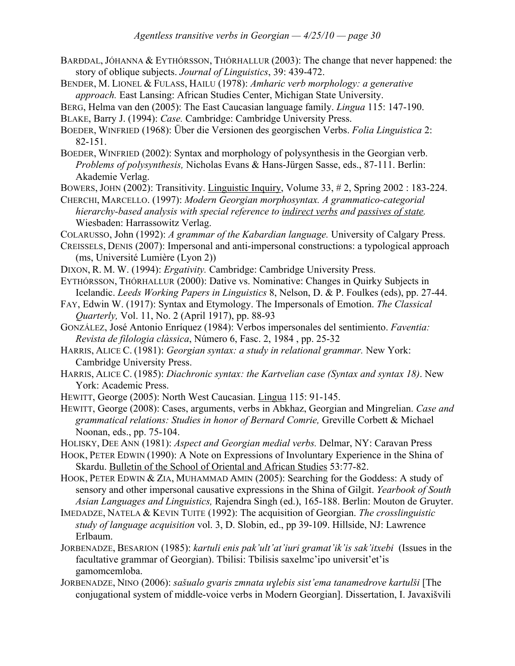- BARÐDAL, JÓHANNA & EYTHÓRSSON, THÓRHALLUR (2003): The change that never happened: the story of oblique subjects. *Journal of Linguistics*, 39: 439-472.
- BENDER, M. LIONEL & FULASS, HAILU (1978): *Amharic verb morphology: a generative approach.* East Lansing: African Studies Center, Michigan State University.

BERG, Helma van den (2005): The East Caucasian language family. *Lingua* 115: 147-190.

- BLAKE, Barry J. (1994): *Case.* Cambridge: Cambridge University Press.
- BOEDER, WINFRIED (1968): Über die Versionen des georgischen Verbs. *Folia Linguistica* 2: 82-151.
- BOEDER, WINFRIED (2002): Syntax and morphology of polysynthesis in the Georgian verb. *Problems of polysynthesis,* Nicholas Evans & Hans-Jürgen Sasse, eds., 87-111. Berlin: Akademie Verlag.
- BOWERS, JOHN (2002): Transitivity. Linguistic Inquiry, Volume 33, # 2, Spring 2002 : 183-224.
- CHERCHI, MARCELLO. (1997): *Modern Georgian morphosyntax. A grammatico-categorial hierarchy-based analysis with special reference to indirect verbs and passives of state.*  Wiesbaden: Harrassowitz Verlag.
- COLARUSSO, John (1992): *A grammar of the Kabardian language.* University of Calgary Press.
- CREISSELS, DENIS (2007): Impersonal and anti-impersonal constructions: a typological approach (ms, Université Lumière (Lyon 2))
- DIXON, R. M. W. (1994): *Ergativity.* Cambridge: Cambridge University Press.
- EYTHÓRSSON, THÓRHALLUR (2000): Dative vs. Nominative: Changes in Quirky Subjects in Icelandic. *Leeds Working Papers in Linguistics* 8, Nelson, D. & P. Foulkes (eds), pp. 27-44.
- FAY, Edwin W. (1917): Syntax and Etymology. The Impersonals of Emotion. *The Classical Quarterly,* Vol. 11, No. 2 (April 1917), pp. 88-93
- GONZÁLEZ, José Antonio Enríquez (1984): Verbos impersonales del sentimiento. *Faventia: Revista de filologia clàssica*, Número 6, Fasc. 2, 1984 , pp. 25-32
- HARRIS, ALICE C. (1981): *Georgian syntax: a study in relational grammar*. New York: Cambridge University Press.
- HARRIS, ALICE C. (1985): *Diachronic syntax: the Kartvelian case (Syntax and syntax 18)*. New York: Academic Press.
- HEWITT, George (2005): North West Caucasian. Lingua 115: 91-145.
- HEWITT, George (2008): Cases, arguments, verbs in Abkhaz, Georgian and Mingrelian. *Case and grammatical relations: Studies in honor of Bernard Comrie,* Greville Corbett & Michael Noonan, eds., pp. 75-104.
- HOLISKY, DEE ANN (1981): *Aspect and Georgian medial verbs.* Delmar, NY: Caravan Press
- HOOK, PETER EDWIN (1990): A Note on Expressions of Involuntary Experience in the Shina of Skardu. Bulletin of the School of Oriental and African Studies 53:77-82.
- HOOK, PETER EDWIN & ZIA, MUHAMMAD AMIN (2005): Searching for the Goddess: A study of sensory and other impersonal causative expressions in the Shina of Gilgit. *Yearbook of South Asian Languages and Linguistics,* Rajendra Singh (ed.), 165-188. Berlin: Mouton de Gruyter.
- IMEDADZE, NATELA & KEVIN TUITE (1992): The acquisition of Georgian. *The crosslinguistic study of language acquisition* vol. 3, D. Slobin, ed., pp 39-109. Hillside, NJ: Lawrence Erlbaum.
- JORBENADZE, BESARION (1985): *kartuli enis pak'ult'at'iuri gramat'ik'is sak'itxebi* (Issues in the facultative grammar of Georgian). Tbilisi: Tbilisis saxelmc'ipo universit'et'is gamomcemloba.
- JORBENADZE, NINO (2006): *sašualo gvaris zmnata uylebis sist'ema tanamedrove kartulši* [The conjugational system of middle-voice verbs in Modern Georgian]. Dissertation, I. Javaxišvili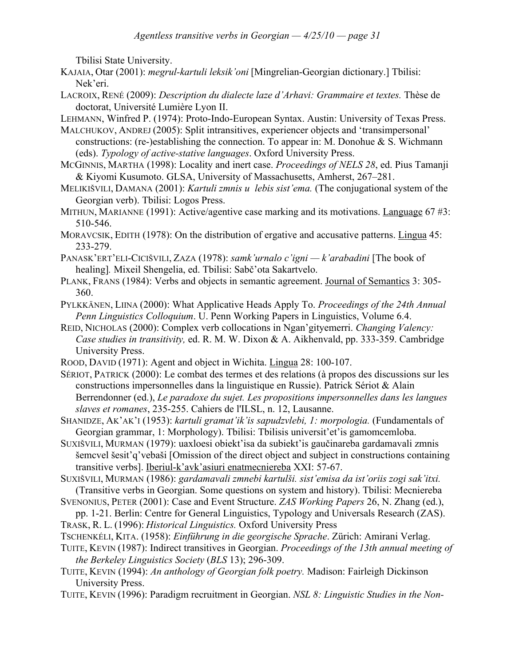Tbilisi State University.

- KAJAIA, Otar (2001): *megrul-kartuli leksik'oni* [Mingrelian-Georgian dictionary.] Tbilisi: Nek'eri.
- LACROIX, RENÉ (2009): *Description du dialecte laze d'Arhavi: Grammaire et textes.* Thèse de doctorat, Université Lumière Lyon II.
- LEHMANN, Winfred P. (1974): Proto-Indo-European Syntax. Austin: University of Texas Press.
- MALCHUKOV, ANDREJ (2005): Split intransitives, experiencer objects and 'transimpersonal' constructions: (re-)establishing the connection. To appear in: M. Donohue  $\&$  S. Wichmann (eds). *Typology of active-stative languages*. Oxford University Press.
- MCGINNIS, MARTHA (1998): Locality and inert case. *Proceedings of NELS 28*, ed. Pius Tamanji & Kiyomi Kusumoto. GLSA, University of Massachusetts, Amherst, 267–281.
- MELIKI%VILI, DAMANA (2001): *Kartuli zmnis ulebis sist'ema.* (The conjugational system of the Georgian verb). Tbilisi: Logos Press.
- MITHUN, MARIANNE (1991): Active/agentive case marking and its motivations. Language 67 #3: 510-546.
- MORAVCSIK, EDITH (1978): On the distribution of ergative and accusative patterns. Lingua 45: 233-279.
- PANASK'ERT'ELI-CICI%VILI, ZAZA (1978): *samk'urnalo c'igni k'arabadini* [The book of healing]. Mixeil Shengelia, ed. Tbilisi: Sabč'ota Sakartvelo.
- PLANK, FRANS (1984): Verbs and objects in semantic agreement. Journal of Semantics 3: 305- 360.
- PYLKKÄNEN, LIINA (2000): What Applicative Heads Apply To. *Proceedings of the 24th Annual Penn Linguistics Colloquium*. U. Penn Working Papers in Linguistics, Volume 6.4.
- REID, NICHOLAS (2000): Complex verb collocations in Ngan'gityemerri. *Changing Valency: Case studies in transitivity,* ed. R. M. W. Dixon & A. Aikhenvald, pp. 333-359. Cambridge University Press.
- ROOD, DAVID (1971): Agent and object in Wichita. Lingua 28: 100-107.
- SÉRIOT, PATRICK (2000): Le combat des termes et des relations (à propos des discussions sur les constructions impersonnelles dans la linguistique en Russie). Patrick Sériot & Alain Berrendonner (ed.), *Le paradoxe du sujet. Les propositions impersonnelles dans les langues slaves et romanes*, 235-255. Cahiers de l'ILSL, n. 12, Lausanne.
- SHANIDZE, AK'AK'I (1953): *kartuli gramat'ik'is sapudzvlebi, 1: morpologia.* (Fundamentals of Georgian grammar, 1: Morphology). Tbilisi: Tbilisis universit'et'is gamomcemloba.
- SUXIŠVILI, MURMAN (1979): uaxloesi obiekt'isa da subiekt'is gaučinareba gardamavali zmnis Semcvel Sesit'q'vebaši [Omission of the direct object and subject in constructions containing transitive verbs]. Iberiul-k'avk'asiuri enatmecniereba XXI: 57-67.
- SUXI%VILI, MURMAN (1986): *gardamavali zmnebi kartul!i. sist'emisa da ist'oriis zogi sak'itxi.*  (Transitive verbs in Georgian. Some questions on system and history). Tbilisi: Mecniereba
- SVENONIUS, PETER (2001): Case and Event Structure. *ZAS Working Papers* 26, N. Zhang (ed.), pp. 1-21. Berlin: Centre for General Linguistics, Typology and Universals Research (ZAS).
- TRASK, R. L. (1996): *Historical Linguistics.* Oxford University Press
- TSCHENKÉLI, KITA. (1958): *Einführung in die georgische Sprache*. Zürich: Amirani Verlag.
- TUITE, KEVIN (1987): Indirect transitives in Georgian. *Proceedings of the 13th annual meeting of the Berkeley Linguistics Society* (*BLS* 13); 296-309.
- TUITE, KEVIN (1994): *An anthology of Georgian folk poetry.* Madison: Fairleigh Dickinson University Press.
- TUITE, KEVIN (1996): Paradigm recruitment in Georgian. *NSL 8: Linguistic Studies in the Non-*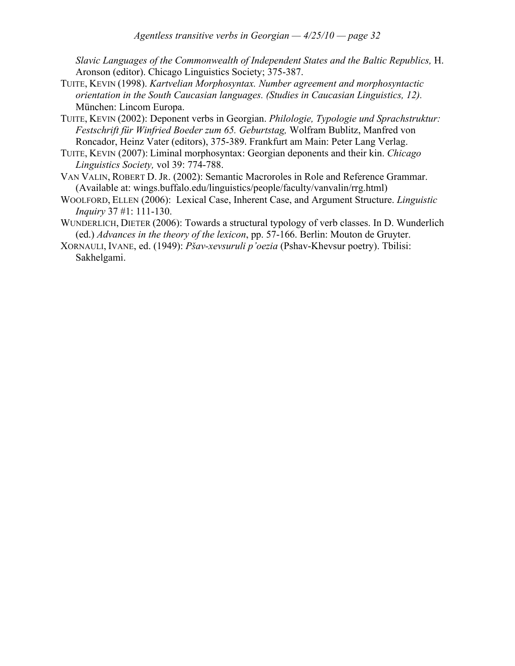*Slavic Languages of the Commonwealth of Independent States and the Baltic Republics,* H. Aronson (editor). Chicago Linguistics Society; 375-387.

- TUITE, KEVIN (1998). *Kartvelian Morphosyntax. Number agreement and morphosyntactic orientation in the South Caucasian languages. (Studies in Caucasian Linguistics, 12).* München: Lincom Europa.
- TUITE, KEVIN (2002): Deponent verbs in Georgian. *Philologie, Typologie und Sprachstruktur: Festschrift für Winfried Boeder zum 65. Geburtstag,* Wolfram Bublitz, Manfred von Roncador, Heinz Vater (editors), 375-389. Frankfurt am Main: Peter Lang Verlag.
- TUITE, KEVIN (2007): Liminal morphosyntax: Georgian deponents and their kin. *Chicago Linguistics Society,* vol 39: 774-788.
- VAN VALIN, ROBERT D. JR. (2002): Semantic Macroroles in Role and Reference Grammar. (Available at: wings.buffalo.edu/linguistics/people/faculty/vanvalin/rrg.html)
- WOOLFORD, ELLEN (2006): Lexical Case, Inherent Case, and Argument Structure. *Linguistic Inquiry* 37 #1: 111-130.
- WUNDERLICH, DIETER (2006): Towards a structural typology of verb classes. In D. Wunderlich (ed.) *Advances in the theory of the lexicon*, pp. 57-166. Berlin: Mouton de Gruyter.
- XORNAULI, IVANE, ed. (1949): *P!av-xevsuruli p'oezia* (Pshav-Khevsur poetry). Tbilisi: Sakhelgami.